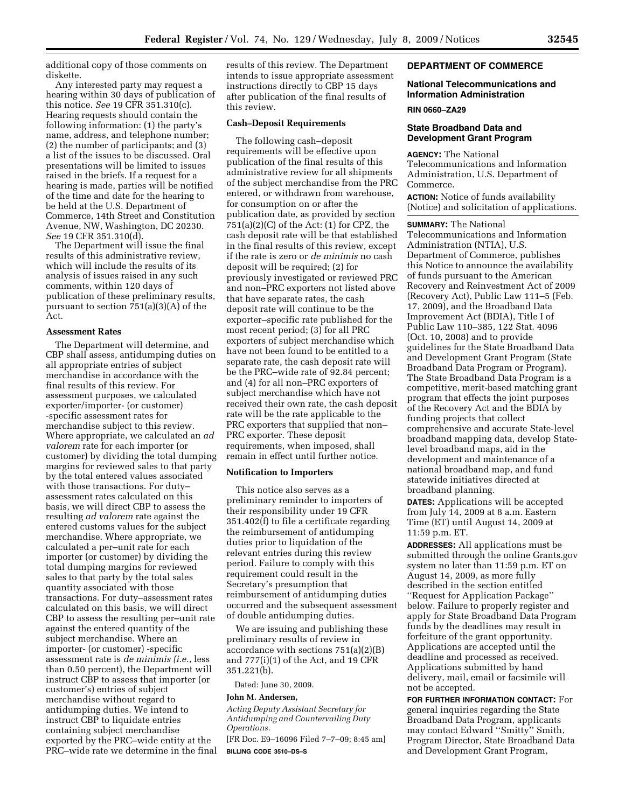additional copy of those comments on diskette.

Any interested party may request a hearing within 30 days of publication of this notice. *See* 19 CFR 351.310(c). Hearing requests should contain the following information: (1) the party's name, address, and telephone number; (2) the number of participants; and (3) a list of the issues to be discussed. Oral presentations will be limited to issues raised in the briefs. If a request for a hearing is made, parties will be notified of the time and date for the hearing to be held at the U.S. Department of Commerce, 14th Street and Constitution Avenue, NW, Washington, DC 20230. *See* 19 CFR 351.310(d).

The Department will issue the final results of this administrative review, which will include the results of its analysis of issues raised in any such comments, within 120 days of publication of these preliminary results, pursuant to section 751(a)(3)(A) of the Act.

### **Assessment Rates**

The Department will determine, and CBP shall assess, antidumping duties on all appropriate entries of subject merchandise in accordance with the final results of this review. For assessment purposes, we calculated exporter/importer- (or customer) -specific assessment rates for merchandise subject to this review. Where appropriate, we calculated an *ad valorem* rate for each importer (or customer) by dividing the total dumping margins for reviewed sales to that party by the total entered values associated with those transactions. For duty– assessment rates calculated on this basis, we will direct CBP to assess the resulting *ad valorem* rate against the entered customs values for the subject merchandise. Where appropriate, we calculated a per–unit rate for each importer (or customer) by dividing the total dumping margins for reviewed sales to that party by the total sales quantity associated with those transactions. For duty–assessment rates calculated on this basis, we will direct CBP to assess the resulting per–unit rate against the entered quantity of the subject merchandise. Where an importer- (or customer) -specific assessment rate is *de minimis (i.e.*, less than 0.50 percent), the Department will instruct CBP to assess that importer (or customer's) entries of subject merchandise without regard to antidumping duties. We intend to instruct CBP to liquidate entries containing subject merchandise exported by the PRC–wide entity at the PRC–wide rate we determine in the final results of this review. The Department intends to issue appropriate assessment instructions directly to CBP 15 days after publication of the final results of this review.

### **Cash–Deposit Requirements**

The following cash–deposit requirements will be effective upon publication of the final results of this administrative review for all shipments of the subject merchandise from the PRC entered, or withdrawn from warehouse, for consumption on or after the publication date, as provided by section 751(a)(2)(C) of the Act: (1) for CPZ, the cash deposit rate will be that established in the final results of this review, except if the rate is zero or *de minimis* no cash deposit will be required; (2) for previously investigated or reviewed PRC and non–PRC exporters not listed above that have separate rates, the cash deposit rate will continue to be the exporter–specific rate published for the most recent period; (3) for all PRC exporters of subject merchandise which have not been found to be entitled to a separate rate, the cash deposit rate will be the PRC–wide rate of 92.84 percent; and (4) for all non–PRC exporters of subject merchandise which have not received their own rate, the cash deposit rate will be the rate applicable to the PRC exporters that supplied that non– PRC exporter. These deposit requirements, when imposed, shall remain in effect until further notice.

#### **Notification to Importers**

This notice also serves as a preliminary reminder to importers of their responsibility under 19 CFR 351.402(f) to file a certificate regarding the reimbursement of antidumping duties prior to liquidation of the relevant entries during this review period. Failure to comply with this requirement could result in the Secretary's presumption that reimbursement of antidumping duties occurred and the subsequent assessment of double antidumping duties.

We are issuing and publishing these preliminary results of review in accordance with sections 751(a)(2)(B) and 777(i)(1) of the Act, and 19 CFR 351.221(b).

Dated: June 30, 2009.

#### **John M. Andersen,**

*Acting Deputy Assistant Secretary for Antidumping and Countervailing Duty Operations.* 

[FR Doc. E9–16096 Filed 7–7–09; 8:45 am] **BILLING CODE 3510–DS–S** 

#### **DEPARTMENT OF COMMERCE**

#### **National Telecommunications and Information Administration**

#### **RIN 0660–ZA29**

## **State Broadband Data and Development Grant Program**

**AGENCY:** The National Telecommunications and Information Administration, U.S. Department of Commerce.

**ACTION:** Notice of funds availability (Notice) and solicitation of applications.

**SUMMARY:** The National

Telecommunications and Information Administration (NTIA), U.S. Department of Commerce, publishes this Notice to announce the availability of funds pursuant to the American Recovery and Reinvestment Act of 2009 (Recovery Act), Public Law 111–5 (Feb. 17, 2009), and the Broadband Data Improvement Act (BDIA), Title I of Public Law 110–385, 122 Stat. 4096 (Oct. 10, 2008) and to provide guidelines for the State Broadband Data and Development Grant Program (State Broadband Data Program or Program). The State Broadband Data Program is a competitive, merit-based matching grant program that effects the joint purposes of the Recovery Act and the BDIA by funding projects that collect comprehensive and accurate State-level broadband mapping data, develop Statelevel broadband maps, aid in the development and maintenance of a national broadband map, and fund statewide initiatives directed at broadband planning.

**DATES:** Applications will be accepted from July 14, 2009 at 8 a.m. Eastern Time (ET) until August 14, 2009 at 11:59 p.m. ET.

**ADDRESSES:** All applications must be submitted through the online Grants.gov system no later than 11:59 p.m. ET on August 14, 2009, as more fully described in the section entitled ''Request for Application Package'' below. Failure to properly register and apply for State Broadband Data Program funds by the deadlines may result in forfeiture of the grant opportunity. Applications are accepted until the deadline and processed as received. Applications submitted by hand delivery, mail, email or facsimile will not be accepted.

**FOR FURTHER INFORMATION CONTACT:** For general inquiries regarding the State Broadband Data Program, applicants may contact Edward ''Smitty'' Smith, Program Director, State Broadband Data and Development Grant Program,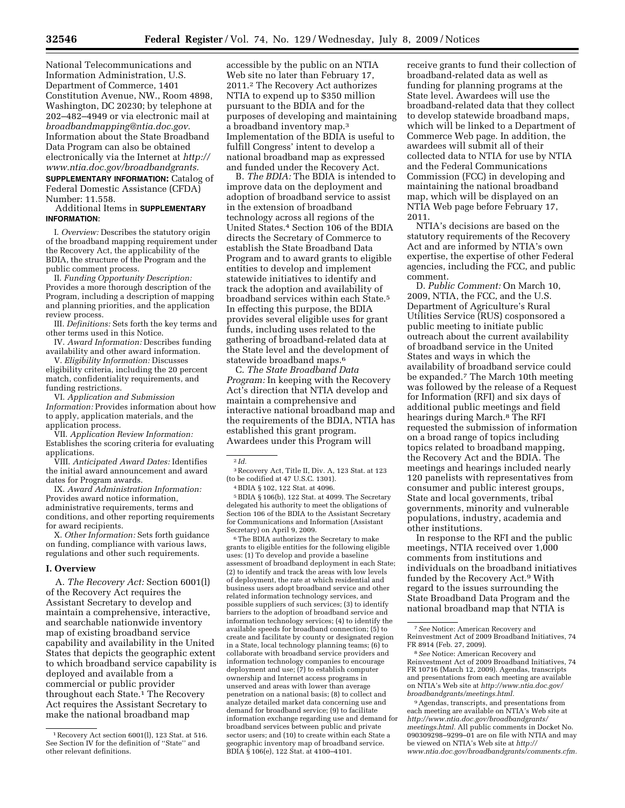National Telecommunications and Information Administration, U.S. Department of Commerce, 1401 Constitution Avenue, NW., Room 4898, Washington, DC 20230; by telephone at 202–482–4949 or via electronic mail at *broadbandmapping@ntia.doc.gov.*  Information about the State Broadband Data Program can also be obtained electronically via the Internet at *http:// www.ntia.doc.gov/broadbandgrants.* 

**SUPPLEMENTARY INFORMATION:** Catalog of Federal Domestic Assistance (CFDA) Number: 11.558.

Additional Items in **SUPPLEMENTARY INFORMATION**:

I. *Overview:* Describes the statutory origin of the broadband mapping requirement under the Recovery Act, the applicability of the BDIA, the structure of the Program and the public comment process.

II. *Funding Opportunity Description:*  Provides a more thorough description of the Program, including a description of mapping and planning priorities, and the application review process.

III. *Definitions:* Sets forth the key terms and other terms used in this Notice.

IV. *Award Information:* Describes funding availability and other award information.

V. *Eligibility Information:* Discusses eligibility criteria, including the 20 percent match, confidentiality requirements, and funding restrictions.

VI. *Application and Submission Information:* Provides information about how to apply, application materials, and the application process.

VII. *Application Review Information:*  Establishes the scoring criteria for evaluating applications.

VIII. *Anticipated Award Dates:* Identifies the initial award announcement and award dates for Program awards.

IX. *Award Administration Information:*  Provides award notice information, administrative requirements, terms and conditions, and other reporting requirements for award recipients.

X. *Other Information:* Sets forth guidance on funding, compliance with various laws, regulations and other such requirements.

#### **I. Overview**

A. *The Recovery Act:* Section 6001(l) of the Recovery Act requires the Assistant Secretary to develop and maintain a comprehensive, interactive, and searchable nationwide inventory map of existing broadband service capability and availability in the United States that depicts the geographic extent to which broadband service capability is deployed and available from a commercial or public provider throughout each State.<sup>1</sup> The Recovery Act requires the Assistant Secretary to make the national broadband map

accessible by the public on an NTIA Web site no later than February 17, 2011.2 The Recovery Act authorizes NTIA to expend up to \$350 million pursuant to the BDIA and for the purposes of developing and maintaining a broadband inventory map.3 Implementation of the BDIA is useful to fulfill Congress' intent to develop a national broadband map as expressed and funded under the Recovery Act.

B. *The BDIA:* The BDIA is intended to improve data on the deployment and adoption of broadband service to assist in the extension of broadband technology across all regions of the United States.4 Section 106 of the BDIA directs the Secretary of Commerce to establish the State Broadband Data Program and to award grants to eligible entities to develop and implement statewide initiatives to identify and track the adoption and availability of broadband services within each State.5 In effecting this purpose, the BDIA provides several eligible uses for grant funds, including uses related to the gathering of broadband-related data at the State level and the development of statewide broadband maps.6

C. *The State Broadband Data Program:* In keeping with the Recovery Act's direction that NTIA develop and maintain a comprehensive and interactive national broadband map and the requirements of the BDIA, NTIA has established this grant program. Awardees under this Program will

3Recovery Act, Title II, Div. A, 123 Stat. at 123 (to be codified at 47 U.S.C. 1301).

4BDIA § 102, 122 Stat. at 4096.

5BDIA § 106(b), 122 Stat. at 4099. The Secretary delegated his authority to meet the obligations of Section 106 of the BDIA to the Assistant Secretary for Communications and Information (Assistant Secretary) on April 9, 2009.

6The BDIA authorizes the Secretary to make grants to eligible entities for the following eligible uses: (1) To develop and provide a baseline assessment of broadband deployment in each State; (2) to identify and track the areas with low levels of deployment, the rate at which residential and business users adopt broadband service and other related information technology services, and possible suppliers of such services; (3) to identify barriers to the adoption of broadband service and information technology services; (4) to identify the available speeds for broadband connection; (5) to create and facilitate by county or designated region in a State, local technology planning teams; (6) to collaborate with broadband service providers and information technology companies to encourage deployment and use; (7) to establish computer ownership and Internet access programs in unserved and areas with lower than average penetration on a national basis; (8) to collect and analyze detailed market data concerning use and demand for broadband service; (9) to facilitate information exchange regarding use and demand for broadband services between public and private sector users; and (10) to create within each State a geographic inventory map of broadband service. BDIA § 106(e), 122 Stat. at 4100–4101.

receive grants to fund their collection of broadband-related data as well as funding for planning programs at the State level. Awardees will use the broadband-related data that they collect to develop statewide broadband maps, which will be linked to a Department of Commerce Web page. In addition, the awardees will submit all of their collected data to NTIA for use by NTIA and the Federal Communications Commission (FCC) in developing and maintaining the national broadband map, which will be displayed on an NTIA Web page before February 17, 2011.

NTIA's decisions are based on the statutory requirements of the Recovery Act and are informed by NTIA's own expertise, the expertise of other Federal agencies, including the FCC, and public comment.

D. *Public Comment:* On March 10, 2009, NTIA, the FCC, and the U.S. Department of Agriculture's Rural Utilities Service (RUS) cosponsored a public meeting to initiate public outreach about the current availability of broadband service in the United States and ways in which the availability of broadband service could be expanded.7 The March 10th meeting was followed by the release of a Request for Information (RFI) and six days of additional public meetings and field hearings during March.8 The RFI requested the submission of information on a broad range of topics including topics related to broadband mapping, the Recovery Act and the BDIA. The meetings and hearings included nearly 120 panelists with representatives from consumer and public interest groups, State and local governments, tribal governments, minority and vulnerable populations, industry, academia and other institutions.

In response to the RFI and the public meetings, NTIA received over 1,000 comments from institutions and individuals on the broadband initiatives funded by the Recovery Act.9 With regard to the issues surrounding the State Broadband Data Program and the national broadband map that NTIA is

Reinvestment Act of 2009 Broadband Initiatives, 74 FR 10716 (March 12, 2009). Agendas, transcripts and presentations from each meeting are available on NTIA's Web site at *http://www.ntia.doc.gov/ broadbandgrants/meetings.html.* 

9Agendas, transcripts, and presentations from each meeting are available on NTIA's Web site at *http://www.ntia.doc.gov/broadbandgrants/ meetings.html.* All public comments in Docket No. 090309298–9299–01 are on file with NTIA and may be viewed on NTIA's Web site at *http:// www.ntia.doc.gov/broadbandgrants/comments.cfm.* 

<sup>1</sup>Recovery Act section 6001(l), 123 Stat. at 516. See Section IV for the definition of ''State'' and other relevant definitions.

<sup>2</sup> *Id.* 

<sup>7</sup>*See* Notice: American Recovery and Reinvestment Act of 2009 Broadband Initiatives, 74 FR 8914 (Feb. 27, 2009). 8*See* Notice: American Recovery and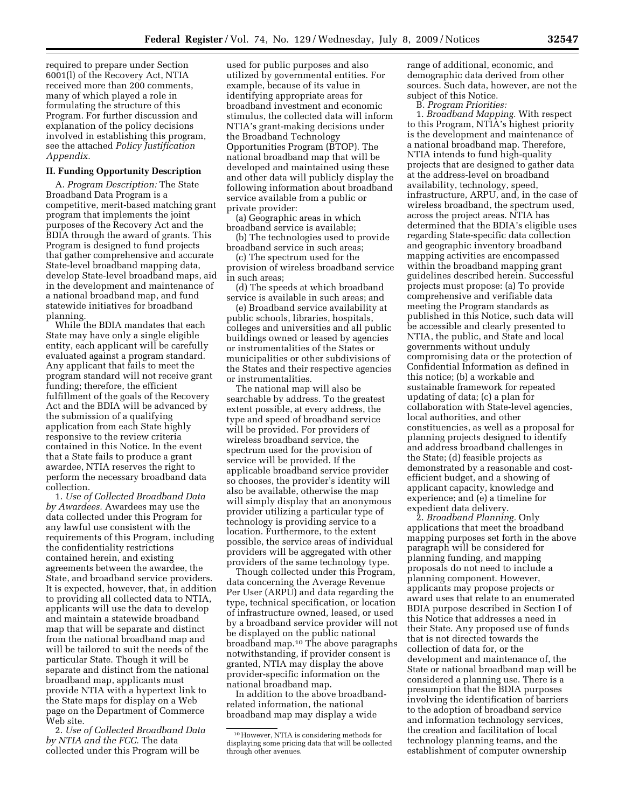required to prepare under Section 6001(l) of the Recovery Act, NTIA received more than 200 comments, many of which played a role in formulating the structure of this Program. For further discussion and explanation of the policy decisions involved in establishing this program, see the attached *Policy Justification Appendix.* 

#### **II. Funding Opportunity Description**

A. *Program Description:* The State Broadband Data Program is a competitive, merit-based matching grant program that implements the joint purposes of the Recovery Act and the BDIA through the award of grants. This Program is designed to fund projects that gather comprehensive and accurate State-level broadband mapping data, develop State-level broadband maps, aid in the development and maintenance of a national broadband map, and fund statewide initiatives for broadband planning.

While the BDIA mandates that each State may have only a single eligible entity, each applicant will be carefully evaluated against a program standard. Any applicant that fails to meet the program standard will not receive grant funding; therefore, the efficient fulfillment of the goals of the Recovery Act and the BDIA will be advanced by the submission of a qualifying application from each State highly responsive to the review criteria contained in this Notice. In the event that a State fails to produce a grant awardee, NTIA reserves the right to perform the necessary broadband data collection.

1. *Use of Collected Broadband Data by Awardees.* Awardees may use the data collected under this Program for any lawful use consistent with the requirements of this Program, including the confidentiality restrictions contained herein, and existing agreements between the awardee, the State, and broadband service providers. It is expected, however, that, in addition to providing all collected data to NTIA, applicants will use the data to develop and maintain a statewide broadband map that will be separate and distinct from the national broadband map and will be tailored to suit the needs of the particular State. Though it will be separate and distinct from the national broadband map, applicants must provide NTIA with a hypertext link to the State maps for display on a Web page on the Department of Commerce Web site.

2. *Use of Collected Broadband Data by NTIA and the FCC.* The data collected under this Program will be

used for public purposes and also utilized by governmental entities. For example, because of its value in identifying appropriate areas for broadband investment and economic stimulus, the collected data will inform NTIA's grant-making decisions under the Broadband Technology Opportunities Program (BTOP). The national broadband map that will be developed and maintained using these and other data will publicly display the following information about broadband service available from a public or private provider:

(a) Geographic areas in which broadband service is available;

(b) The technologies used to provide broadband service in such areas;

(c) The spectrum used for the provision of wireless broadband service in such areas;

(d) The speeds at which broadband service is available in such areas; and

(e) Broadband service availability at public schools, libraries, hospitals, colleges and universities and all public buildings owned or leased by agencies or instrumentalities of the States or municipalities or other subdivisions of the States and their respective agencies or instrumentalities.

The national map will also be searchable by address. To the greatest extent possible, at every address, the type and speed of broadband service will be provided. For providers of wireless broadband service, the spectrum used for the provision of service will be provided. If the applicable broadband service provider so chooses, the provider's identity will also be available, otherwise the map will simply display that an anonymous provider utilizing a particular type of technology is providing service to a location. Furthermore, to the extent possible, the service areas of individual providers will be aggregated with other providers of the same technology type.

Though collected under this Program, data concerning the Average Revenue Per User (ARPU) and data regarding the type, technical specification, or location of infrastructure owned, leased, or used by a broadband service provider will not be displayed on the public national broadband map.10 The above paragraphs notwithstanding, if provider consent is granted, NTIA may display the above provider-specific information on the national broadband map.

In addition to the above broadbandrelated information, the national broadband map may display a wide

range of additional, economic, and demographic data derived from other sources. Such data, however, are not the subject of this Notice.

B. *Program Priorities:* 

1. *Broadband Mapping.* With respect to this Program, NTIA's highest priority is the development and maintenance of a national broadband map. Therefore, NTIA intends to fund high-quality projects that are designed to gather data at the address-level on broadband availability, technology, speed, infrastructure, ARPU, and, in the case of wireless broadband, the spectrum used, across the project areas. NTIA has determined that the BDIA's eligible uses regarding State-specific data collection and geographic inventory broadband mapping activities are encompassed within the broadband mapping grant guidelines described herein. Successful projects must propose: (a) To provide comprehensive and verifiable data meeting the Program standards as published in this Notice, such data will be accessible and clearly presented to NTIA, the public, and State and local governments without unduly compromising data or the protection of Confidential Information as defined in this notice; (b) a workable and sustainable framework for repeated updating of data; (c) a plan for collaboration with State-level agencies, local authorities, and other constituencies, as well as a proposal for planning projects designed to identify and address broadband challenges in the State; (d) feasible projects as demonstrated by a reasonable and costefficient budget, and a showing of applicant capacity, knowledge and experience; and (e) a timeline for expedient data delivery.

2. *Broadband Planning.* Only applications that meet the broadband mapping purposes set forth in the above paragraph will be considered for planning funding, and mapping proposals do not need to include a planning component. However, applicants may propose projects or award uses that relate to an enumerated BDIA purpose described in Section I of this Notice that addresses a need in their State. Any proposed use of funds that is not directed towards the collection of data for, or the development and maintenance of, the State or national broadband map will be considered a planning use. There is a presumption that the BDIA purposes involving the identification of barriers to the adoption of broadband service and information technology services, the creation and facilitation of local technology planning teams, and the establishment of computer ownership

<sup>10</sup>However, NTIA is considering methods for displaying some pricing data that will be collected through other avenues.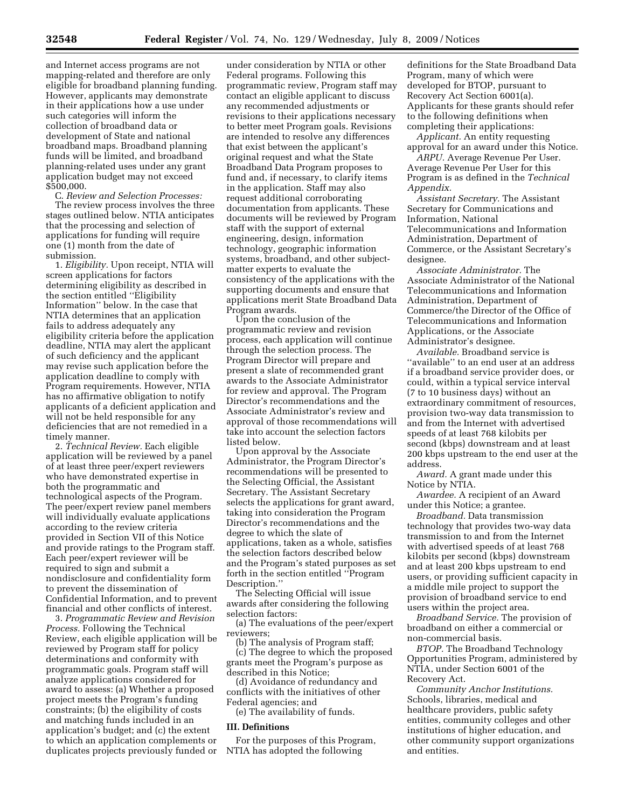and Internet access programs are not mapping-related and therefore are only eligible for broadband planning funding. However, applicants may demonstrate in their applications how a use under such categories will inform the collection of broadband data or development of State and national broadband maps. Broadband planning funds will be limited, and broadband planning-related uses under any grant application budget may not exceed \$500,000.

C. *Review and Selection Processes:*  The review process involves the three stages outlined below. NTIA anticipates that the processing and selection of applications for funding will require one (1) month from the date of submission.

1. *Eligibility.* Upon receipt, NTIA will screen applications for factors determining eligibility as described in the section entitled "Eligibility Information'' below. In the case that NTIA determines that an application fails to address adequately any eligibility criteria before the application deadline, NTIA may alert the applicant of such deficiency and the applicant may revise such application before the application deadline to comply with Program requirements. However, NTIA has no affirmative obligation to notify applicants of a deficient application and will not be held responsible for any deficiencies that are not remedied in a timely manner.

2. *Technical Review.* Each eligible application will be reviewed by a panel of at least three peer/expert reviewers who have demonstrated expertise in both the programmatic and technological aspects of the Program. The peer/expert review panel members will individually evaluate applications according to the review criteria provided in Section VII of this Notice and provide ratings to the Program staff. Each peer/expert reviewer will be required to sign and submit a nondisclosure and confidentiality form to prevent the dissemination of Confidential Information, and to prevent financial and other conflicts of interest.

3. *Programmatic Review and Revision Process.* Following the Technical Review, each eligible application will be reviewed by Program staff for policy determinations and conformity with programmatic goals. Program staff will analyze applications considered for award to assess: (a) Whether a proposed project meets the Program's funding constraints; (b) the eligibility of costs and matching funds included in an application's budget; and (c) the extent to which an application complements or duplicates projects previously funded or

under consideration by NTIA or other Federal programs. Following this programmatic review, Program staff may contact an eligible applicant to discuss any recommended adjustments or revisions to their applications necessary to better meet Program goals. Revisions are intended to resolve any differences that exist between the applicant's original request and what the State Broadband Data Program proposes to fund and, if necessary, to clarify items in the application. Staff may also request additional corroborating documentation from applicants. These documents will be reviewed by Program staff with the support of external engineering, design, information technology, geographic information systems, broadband, and other subjectmatter experts to evaluate the consistency of the applications with the supporting documents and ensure that applications merit State Broadband Data Program awards.

Upon the conclusion of the programmatic review and revision process, each application will continue through the selection process. The Program Director will prepare and present a slate of recommended grant awards to the Associate Administrator for review and approval. The Program Director's recommendations and the Associate Administrator's review and approval of those recommendations will take into account the selection factors listed below.

Upon approval by the Associate Administrator, the Program Director's recommendations will be presented to the Selecting Official, the Assistant Secretary. The Assistant Secretary selects the applications for grant award, taking into consideration the Program Director's recommendations and the degree to which the slate of applications, taken as a whole, satisfies the selection factors described below and the Program's stated purposes as set forth in the section entitled ''Program Description.''

The Selecting Official will issue awards after considering the following selection factors:

(a) The evaluations of the peer/expert reviewers;

(b) The analysis of Program staff; (c) The degree to which the proposed grants meet the Program's purpose as described in this Notice;

(d) Avoidance of redundancy and conflicts with the initiatives of other Federal agencies; and

(e) The availability of funds.

#### **III. Definitions**

For the purposes of this Program, NTIA has adopted the following

definitions for the State Broadband Data Program, many of which were developed for BTOP, pursuant to Recovery Act Section 6001(a). Applicants for these grants should refer to the following definitions when completing their applications:

*Applicant.* An entity requesting approval for an award under this Notice.

*ARPU.* Average Revenue Per User. Average Revenue Per User for this Program is as defined in the *Technical Appendix.* 

*Assistant Secretary.* The Assistant Secretary for Communications and Information, National Telecommunications and Information Administration, Department of Commerce, or the Assistant Secretary's designee.

*Associate Administrator.* The Associate Administrator of the National Telecommunications and Information Administration, Department of Commerce/the Director of the Office of Telecommunications and Information Applications, or the Associate Administrator's designee.

*Available.* Broadband service is ''available'' to an end user at an address if a broadband service provider does, or could, within a typical service interval (7 to 10 business days) without an extraordinary commitment of resources, provision two-way data transmission to and from the Internet with advertised speeds of at least 768 kilobits per second (kbps) downstream and at least 200 kbps upstream to the end user at the address.

*Award.* A grant made under this Notice by NTIA.

*Awardee.* A recipient of an Award under this Notice; a grantee.

*Broadband.* Data transmission technology that provides two-way data transmission to and from the Internet with advertised speeds of at least 768 kilobits per second (kbps) downstream and at least 200 kbps upstream to end users, or providing sufficient capacity in a middle mile project to support the provision of broadband service to end users within the project area.

*Broadband Service.* The provision of broadband on either a commercial or non-commercial basis.

*BTOP.* The Broadband Technology Opportunities Program, administered by NTIA, under Section 6001 of the Recovery Act.

*Community Anchor Institutions.*  Schools, libraries, medical and healthcare providers, public safety entities, community colleges and other institutions of higher education, and other community support organizations and entities.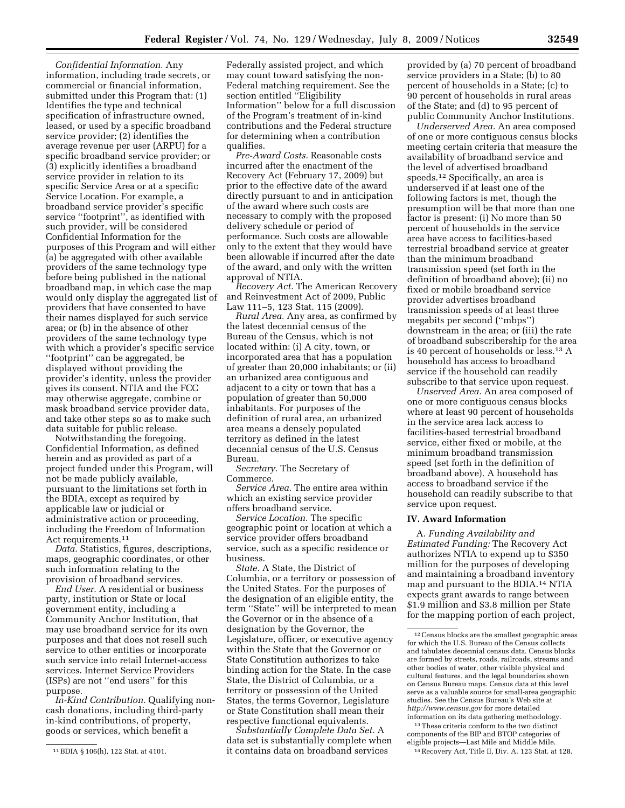*Confidential Information.* Any information, including trade secrets, or commercial or financial information, submitted under this Program that: (1) Identifies the type and technical specification of infrastructure owned, leased, or used by a specific broadband service provider; (2) identifies the average revenue per user (ARPU) for a specific broadband service provider; or (3) explicitly identifies a broadband service provider in relation to its specific Service Area or at a specific Service Location. For example, a broadband service provider's specific service ''footprint'', as identified with such provider, will be considered Confidential Information for the purposes of this Program and will either (a) be aggregated with other available providers of the same technology type before being published in the national broadband map, in which case the map would only display the aggregated list of providers that have consented to have their names displayed for such service area; or (b) in the absence of other providers of the same technology type with which a provider's specific service ''footprint'' can be aggregated, be displayed without providing the provider's identity, unless the provider gives its consent. NTIA and the FCC may otherwise aggregate, combine or mask broadband service provider data, and take other steps so as to make such data suitable for public release.

Notwithstanding the foregoing, Confidential Information, as defined herein and as provided as part of a project funded under this Program, will not be made publicly available, pursuant to the limitations set forth in the BDIA, except as required by applicable law or judicial or administrative action or proceeding, including the Freedom of Information Act requirements.11

*Data.* Statistics, figures, descriptions, maps, geographic coordinates, or other such information relating to the provision of broadband services.

*End User.* A residential or business party, institution or State or local government entity, including a Community Anchor Institution, that may use broadband service for its own purposes and that does not resell such service to other entities or incorporate such service into retail Internet-access services. Internet Service Providers (ISPs) are not ''end users'' for this purpose.

*In-Kind Contribution.* Qualifying noncash donations, including third-party in-kind contributions, of property, goods or services, which benefit a

Federally assisted project, and which may count toward satisfying the non-Federal matching requirement. See the section entitled ''Eligibility Information'' below for a full discussion of the Program's treatment of in-kind contributions and the Federal structure for determining when a contribution qualifies.

*Pre-Award Costs.* Reasonable costs incurred after the enactment of the Recovery Act (February 17, 2009) but prior to the effective date of the award directly pursuant to and in anticipation of the award where such costs are necessary to comply with the proposed delivery schedule or period of performance. Such costs are allowable only to the extent that they would have been allowable if incurred after the date of the award, and only with the written approval of NTIA.

*Recovery Act.* The American Recovery and Reinvestment Act of 2009, Public Law 111–5, 123 Stat. 115 (2009).

*Rural Area.* Any area, as confirmed by the latest decennial census of the Bureau of the Census, which is not located within: (i) A city, town, or incorporated area that has a population of greater than 20,000 inhabitants; or (ii) an urbanized area contiguous and adjacent to a city or town that has a population of greater than 50,000 inhabitants. For purposes of the definition of rural area, an urbanized area means a densely populated territory as defined in the latest decennial census of the U.S. Census Bureau.

*Secretary.* The Secretary of Commerce.

*Service Area.* The entire area within which an existing service provider offers broadband service.

*Service Location.* The specific geographic point or location at which a service provider offers broadband service, such as a specific residence or business.

*State.* A State, the District of Columbia, or a territory or possession of the United States. For the purposes of the designation of an eligible entity, the term ''State'' will be interpreted to mean the Governor or in the absence of a designation by the Governor, the Legislature, officer, or executive agency within the State that the Governor or State Constitution authorizes to take binding action for the State. In the case State, the District of Columbia, or a territory or possession of the United States, the terms Governor, Legislature or State Constitution shall mean their respective functional equivalents.

*Substantially Complete Data Set.* A data set is substantially complete when it contains data on broadband services

provided by (a) 70 percent of broadband service providers in a State; (b) to 80 percent of households in a State; (c) to 90 percent of households in rural areas of the State; and (d) to 95 percent of public Community Anchor Institutions.

*Underserved Area.* An area composed of one or more contiguous census blocks meeting certain criteria that measure the availability of broadband service and the level of advertised broadband speeds.12 Specifically, an area is underserved if at least one of the following factors is met, though the presumption will be that more than one factor is present: (i) No more than 50 percent of households in the service area have access to facilities-based terrestrial broadband service at greater than the minimum broadband transmission speed (set forth in the definition of broadband above); (ii) no fixed or mobile broadband service provider advertises broadband transmission speeds of at least three megabits per second (''mbps'') downstream in the area; or (iii) the rate of broadband subscribership for the area is 40 percent of households or less.13 A household has access to broadband service if the household can readily subscribe to that service upon request.

*Unserved Area.* An area composed of one or more contiguous census blocks where at least 90 percent of households in the service area lack access to facilities-based terrestrial broadband service, either fixed or mobile, at the minimum broadband transmission speed (set forth in the definition of broadband above). A household has access to broadband service if the household can readily subscribe to that service upon request.

### **IV. Award Information**

A. *Funding Availability and Estimated Funding:* The Recovery Act authorizes NTIA to expend up to \$350 million for the purposes of developing and maintaining a broadband inventory map and pursuant to the BDIA.14 NTIA expects grant awards to range between \$1.9 million and \$3.8 million per State for the mapping portion of each project,

 $^{\rm 13}$  These criteria conform to the two distinct components of the BIP and BTOP categories of eligible projects—Last Mile and Middle Mile.

14Recovery Act, Title II, Div. A. 123 Stat. at 128.

<sup>11</sup>BDIA § 106(h), 122 Stat. at 4101.

<sup>12</sup>Census blocks are the smallest geographic areas for which the U.S. Bureau of the Census collects and tabulates decennial census data. Census blocks are formed by streets, roads, railroads, streams and other bodies of water, other visible physical and cultural features, and the legal boundaries shown on Census Bureau maps. Census data at this level serve as a valuable source for small-area geographic studies. See the Census Bureau's Web site at *http://www.census.gov* for more detailed information on its data gathering methodology.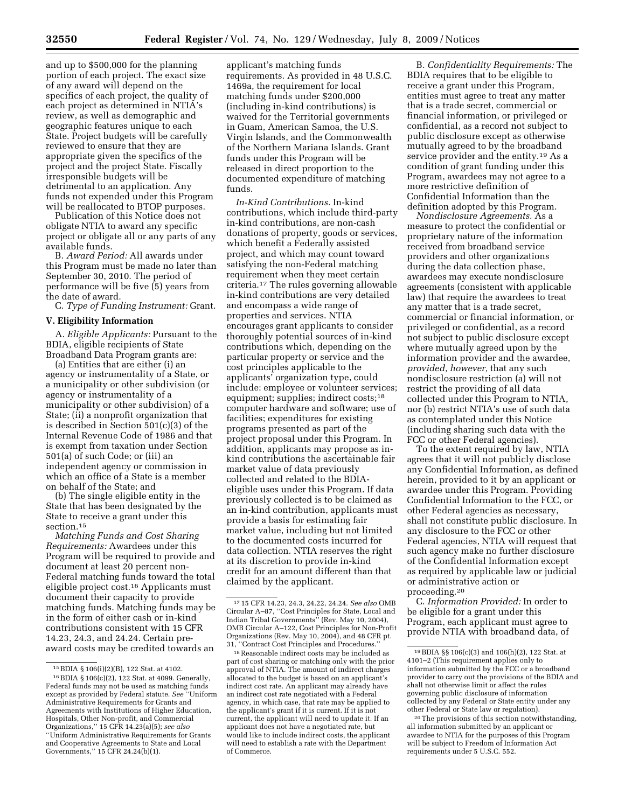and up to \$500,000 for the planning portion of each project. The exact size of any award will depend on the specifics of each project, the quality of each project as determined in NTIA's review, as well as demographic and geographic features unique to each State. Project budgets will be carefully reviewed to ensure that they are appropriate given the specifics of the project and the project State. Fiscally irresponsible budgets will be detrimental to an application. Any funds not expended under this Program will be reallocated to BTOP purposes.

Publication of this Notice does not obligate NTIA to award any specific project or obligate all or any parts of any available funds.

B. *Award Period:* All awards under this Program must be made no later than September 30, 2010. The period of performance will be five (5) years from the date of award.

C. *Type of Funding Instrument:* Grant.

#### **V. Eligibility Information**

A. *Eligible Applicants:* Pursuant to the BDIA, eligible recipients of State Broadband Data Program grants are:

(a) Entities that are either (i) an agency or instrumentality of a State, or a municipality or other subdivision (or agency or instrumentality of a municipality or other subdivision) of a State; (ii) a nonprofit organization that is described in Section  $501(c)(3)$  of the Internal Revenue Code of 1986 and that is exempt from taxation under Section 501(a) of such Code; or (iii) an independent agency or commission in which an office of a State is a member on behalf of the State; and

(b) The single eligible entity in the State that has been designated by the State to receive a grant under this section.15

*Matching Funds and Cost Sharing Requirements:* Awardees under this Program will be required to provide and document at least 20 percent non-Federal matching funds toward the total eligible project cost.16 Applicants must document their capacity to provide matching funds. Matching funds may be in the form of either cash or in-kind contributions consistent with 15 CFR 14.23, 24.3, and 24.24. Certain preaward costs may be credited towards an

applicant's matching funds requirements. As provided in 48 U.S.C. 1469a, the requirement for local matching funds under \$200,000 (including in-kind contributions) is waived for the Territorial governments in Guam, American Samoa, the U.S. Virgin Islands, and the Commonwealth of the Northern Mariana Islands. Grant funds under this Program will be released in direct proportion to the documented expenditure of matching funds.

*In-Kind Contributions.* In-kind contributions, which include third-party in-kind contributions, are non-cash donations of property, goods or services, which benefit a Federally assisted project, and which may count toward satisfying the non-Federal matching requirement when they meet certain criteria.17 The rules governing allowable in-kind contributions are very detailed and encompass a wide range of properties and services. NTIA encourages grant applicants to consider thoroughly potential sources of in-kind contributions which, depending on the particular property or service and the cost principles applicable to the applicants' organization type, could include: employee or volunteer services; equipment; supplies; indirect costs;18 computer hardware and software; use of facilities; expenditures for existing programs presented as part of the project proposal under this Program. In addition, applicants may propose as inkind contributions the ascertainable fair market value of data previously collected and related to the BDIAeligible uses under this Program. If data previously collected is to be claimed as an in-kind contribution, applicants must provide a basis for estimating fair market value, including but not limited to the documented costs incurred for data collection. NTIA reserves the right at its discretion to provide in-kind credit for an amount different than that claimed by the applicant.

18Reasonable indirect costs may be included as part of cost sharing or matching only with the prior approval of NTIA. The amount of indirect charges allocated to the budget is based on an applicant's indirect cost rate. An applicant may already have an indirect cost rate negotiated with a Federal agency, in which case, that rate may be applied to the applicant's grant if it is current. If it is not current, the applicant will need to update it. If an applicant does not have a negotiated rate, but would like to include indirect costs, the applicant will need to establish a rate with the Department of Commerce.

B. *Confidentiality Requirements:* The BDIA requires that to be eligible to receive a grant under this Program, entities must agree to treat any matter that is a trade secret, commercial or financial information, or privileged or confidential, as a record not subject to public disclosure except as otherwise mutually agreed to by the broadband service provider and the entity.19 As a condition of grant funding under this Program, awardees may not agree to a more restrictive definition of Confidential Information than the definition adopted by this Program.

*Nondisclosure Agreements.* As a measure to protect the confidential or proprietary nature of the information received from broadband service providers and other organizations during the data collection phase, awardees may execute nondisclosure agreements (consistent with applicable law) that require the awardees to treat any matter that is a trade secret, commercial or financial information, or privileged or confidential, as a record not subject to public disclosure except where mutually agreed upon by the information provider and the awardee, *provided, however,* that any such nondisclosure restriction (a) will not restrict the providing of all data collected under this Program to NTIA, nor (b) restrict NTIA's use of such data as contemplated under this Notice (including sharing such data with the FCC or other Federal agencies).

To the extent required by law, NTIA agrees that it will not publicly disclose any Confidential Information, as defined herein, provided to it by an applicant or awardee under this Program. Providing Confidential Information to the FCC, or other Federal agencies as necessary, shall not constitute public disclosure. In any disclosure to the FCC or other Federal agencies, NTIA will request that such agency make no further disclosure of the Confidential Information except as required by applicable law or judicial or administrative action or proceeding.20

C. *Information Provided:* In order to be eligible for a grant under this Program, each applicant must agree to provide NTIA with broadband data, of

<sup>15</sup>BDIA § 106(i)(2)(B), 122 Stat. at 4102.

<sup>16</sup>BDIA § 106(c)(2), 122 Stat. at 4099. Generally, Federal funds may not be used as matching funds except as provided by Federal statute. *See* ''Uniform Administrative Requirements for Grants and Agreements with Institutions of Higher Education, Hospitals, Other Non-profit, and Commercial Organizations,'' 15 CFR 14.23(a)(5); *see also*  ''Uniform Administrative Requirements for Grants and Cooperative Agreements to State and Local Governments,'' 15 CFR 24.24(b)(1).

<sup>17</sup> 15 CFR 14.23, 24.3, 24.22, 24.24. *See also* OMB Circular A–87, ''Cost Principles for State, Local and Indian Tribal Governments'' (Rev. May 10, 2004), OMB Circular A–122, Cost Principles for Non-Profit Organizations (Rev. May 10, 2004), and 48 CFR pt. 31, ''Contract Cost Principles and Procedures.''

<sup>19</sup>BDIA §§ 106(c)(3) and 106(h)(2), 122 Stat. at 4101–2 (This requirement applies only to information submitted by the FCC or a broadband provider to carry out the provisions of the BDIA and shall not otherwise limit or affect the rules governing public disclosure of information collected by any Federal or State entity under any other Federal or State law or regulation).

<sup>20</sup>The provisions of this section notwithstanding, all information submitted by an applicant or awardee to NTIA for the purposes of this Program will be subject to Freedom of Information Act requirements under 5 U.S.C. 552.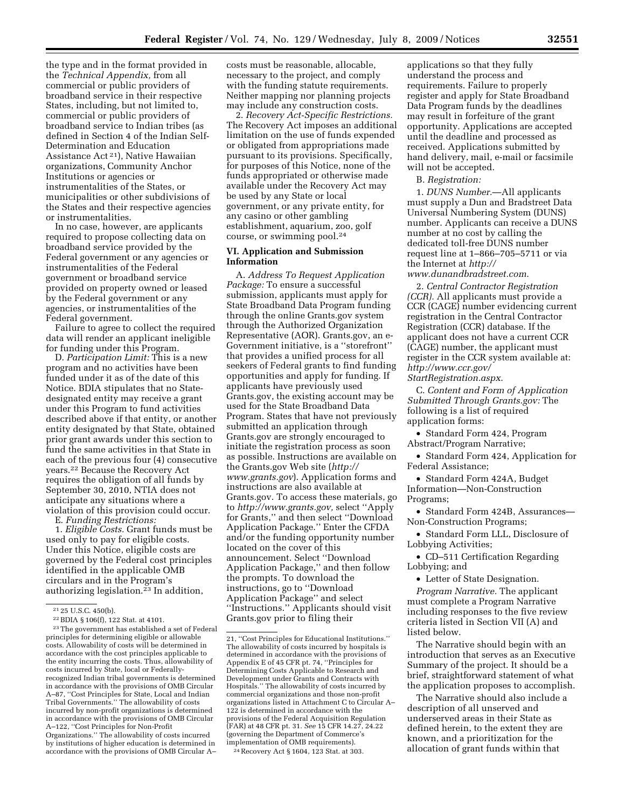the type and in the format provided in the *Technical Appendix,* from all commercial or public providers of broadband service in their respective States, including, but not limited to, commercial or public providers of broadband service to Indian tribes (as defined in Section 4 of the Indian Self-Determination and Education Assistance Act 21), Native Hawaiian organizations, Community Anchor Institutions or agencies or instrumentalities of the States, or municipalities or other subdivisions of the States and their respective agencies or instrumentalities.

In no case, however, are applicants required to propose collecting data on broadband service provided by the Federal government or any agencies or instrumentalities of the Federal government or broadband service provided on property owned or leased by the Federal government or any agencies, or instrumentalities of the Federal government.

Failure to agree to collect the required data will render an applicant ineligible for funding under this Program.

D. *Participation Limit:* This is a new program and no activities have been funded under it as of the date of this Notice. BDIA stipulates that no Statedesignated entity may receive a grant under this Program to fund activities described above if that entity, or another entity designated by that State, obtained prior grant awards under this section to fund the same activities in that State in each of the previous four (4) consecutive years.22 Because the Recovery Act requires the obligation of all funds by September 30, 2010, NTIA does not anticipate any situations where a violation of this provision could occur.

E. *Funding Restrictions:* 

1. *Eligible Costs.* Grant funds must be used only to pay for eligible costs. Under this Notice, eligible costs are governed by the Federal cost principles identified in the applicable OMB circulars and in the Program's authorizing legislation.23 In addition,

by institutions of higher education is determined in accordance with the provisions of OMB Circular A–

costs must be reasonable, allocable, necessary to the project, and comply with the funding statute requirements. Neither mapping nor planning projects may include any construction costs.

2. *Recovery Act-Specific Restrictions.*  The Recovery Act imposes an additional limitation on the use of funds expended or obligated from appropriations made pursuant to its provisions. Specifically, for purposes of this Notice, none of the funds appropriated or otherwise made available under the Recovery Act may be used by any State or local government, or any private entity, for any casino or other gambling establishment, aquarium, zoo, golf course, or swimming pool.24

### **VI. Application and Submission Information**

A. *Address To Request Application Package:* To ensure a successful submission, applicants must apply for State Broadband Data Program funding through the online Grants.gov system through the Authorized Organization Representative (AOR). Grants.gov, an e-Government initiative, is a ''storefront'' that provides a unified process for all seekers of Federal grants to find funding opportunities and apply for funding. If applicants have previously used Grants.gov, the existing account may be used for the State Broadband Data Program. States that have not previously submitted an application through Grants.gov are strongly encouraged to initiate the registration process as soon as possible. Instructions are available on the Grants.gov Web site (*http:// www.grants.gov*). Application forms and instructions are also available at Grants.gov. To access these materials, go to *http://www.grants.gov,* select ''Apply for Grants,'' and then select ''Download Application Package.'' Enter the CFDA and/or the funding opportunity number located on the cover of this announcement. Select ''Download Application Package,'' and then follow the prompts. To download the instructions, go to ''Download Application Package'' and select ''Instructions.'' Applicants should visit Grants.gov prior to filing their

24Recovery Act § 1604, 123 Stat. at 303.

applications so that they fully understand the process and requirements. Failure to properly register and apply for State Broadband Data Program funds by the deadlines may result in forfeiture of the grant opportunity. Applications are accepted until the deadline and processed as received. Applications submitted by hand delivery, mail, e-mail or facsimile will not be accepted.

B. *Registration:* 

1. *DUNS Number.*—All applicants must supply a Dun and Bradstreet Data Universal Numbering System (DUNS) number. Applicants can receive a DUNS number at no cost by calling the dedicated toll-free DUNS number request line at 1–866–705–5711 or via the Internet at *http:// www.dunandbradstreet.com*.

2. *Central Contractor Registration (CCR).* All applicants must provide a CCR (CAGE) number evidencing current registration in the Central Contractor Registration (CCR) database. If the applicant does not have a current CCR (CAGE) number, the applicant must register in the CCR system available at: *http://www.ccr.gov/ StartRegistration.aspx*.

C. *Content and Form of Application Submitted Through Grants.gov:* The following is a list of required application forms:

• Standard Form 424, Program Abstract/Program Narrative;

• Standard Form 424, Application for Federal Assistance;

• Standard Form 424A, Budget Information—Non-Construction Programs;

• Standard Form 424B, Assurances— Non-Construction Programs;

• Standard Form LLL, Disclosure of Lobbying Activities;

• CD–511 Certification Regarding Lobbying; and

• Letter of State Designation.

*Program Narrative.* The applicant must complete a Program Narrative including responses to the five review criteria listed in Section VII (A) and listed below.

The Narrative should begin with an introduction that serves as an Executive Summary of the project. It should be a brief, straightforward statement of what the application proposes to accomplish.

The Narrative should also include a description of all unserved and underserved areas in their State as defined herein, to the extent they are known, and a prioritization for the allocation of grant funds within that

<sup>21</sup> 25 U.S.C. 450(b).

<sup>22</sup>BDIA § 106(f), 122 Stat. at 4101.

<sup>23</sup>The government has established a set of Federal principles for determining eligible or allowable costs. Allowability of costs will be determined in accordance with the cost principles applicable to the entity incurring the costs. Thus, allowability of costs incurred by State, local or Federallyrecognized Indian tribal governments is determined in accordance with the provisions of OMB Circular A–87, ''Cost Principles for State, Local and Indian Tribal Governments.'' The allowability of costs incurred by non-profit organizations is determined in accordance with the provisions of OMB Circular A–122, ''Cost Principles for Non-Profit Organizations.'' The allowability of costs incurred

<sup>21, &#</sup>x27;'Cost Principles for Educational Institutions.'' The allowability of costs incurred by hospitals is determined in accordance with the provisions of Appendix E of 45 CFR pt. 74, ''Principles for Determining Costs Applicable to Research and Development under Grants and Contracts with Hospitals.'' The allowability of costs incurred by commercial organizations and those non-profit organizations listed in Attachment C to Circular A– 122 is determined in accordance with the provisions of the Federal Acquisition Regulation (FAR) at 48 CFR pt. 31. *See* 15 CFR 14.27, 24.22 (governing the Department of Commerce's implementation of OMB requirements).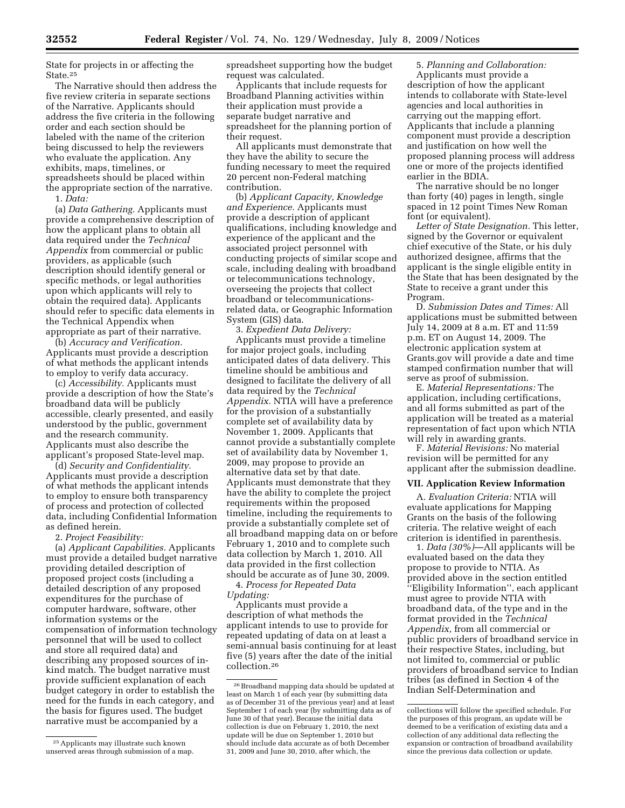State for projects in or affecting the State.25

The Narrative should then address the five review criteria in separate sections of the Narrative. Applicants should address the five criteria in the following order and each section should be labeled with the name of the criterion being discussed to help the reviewers who evaluate the application. Any exhibits, maps, timelines, or spreadsheets should be placed within the appropriate section of the narrative. 1. *Data:* 

(a) *Data Gathering.* Applicants must provide a comprehensive description of how the applicant plans to obtain all data required under the *Technical Appendix* from commercial or public providers, as applicable (such description should identify general or specific methods, or legal authorities upon which applicants will rely to obtain the required data). Applicants should refer to specific data elements in the Technical Appendix when appropriate as part of their narrative.

(b) *Accuracy and Verification.*  Applicants must provide a description of what methods the applicant intends to employ to verify data accuracy.

(c) *Accessibility.* Applicants must provide a description of how the State's broadband data will be publicly accessible, clearly presented, and easily understood by the public, government and the research community. Applicants must also describe the applicant's proposed State-level map.

(d) *Security and Confidentiality.*  Applicants must provide a description of what methods the applicant intends to employ to ensure both transparency of process and protection of collected data, including Confidential Information as defined herein.

2. *Project Feasibility:* 

(a) *Applicant Capabilities.* Applicants must provide a detailed budget narrative providing detailed description of proposed project costs (including a detailed description of any proposed expenditures for the purchase of computer hardware, software, other information systems or the compensation of information technology personnel that will be used to collect and store all required data) and describing any proposed sources of inkind match. The budget narrative must provide sufficient explanation of each budget category in order to establish the need for the funds in each category, and the basis for figures used. The budget narrative must be accompanied by a

25Applicants may illustrate such known unserved areas through submission of a map. spreadsheet supporting how the budget request was calculated.

Applicants that include requests for Broadband Planning activities within their application must provide a separate budget narrative and spreadsheet for the planning portion of their request.

All applicants must demonstrate that they have the ability to secure the funding necessary to meet the required 20 percent non-Federal matching contribution.

(b) *Applicant Capacity, Knowledge and Experience.* Applicants must provide a description of applicant qualifications, including knowledge and experience of the applicant and the associated project personnel with conducting projects of similar scope and scale, including dealing with broadband or telecommunications technology, overseeing the projects that collect broadband or telecommunicationsrelated data, or Geographic Information System (GIS) data.

3. *Expedient Data Delivery:* 

Applicants must provide a timeline for major project goals, including anticipated dates of data delivery. This timeline should be ambitious and designed to facilitate the delivery of all data required by the *Technical Appendix.* NTIA will have a preference for the provision of a substantially complete set of availability data by November 1, 2009. Applicants that cannot provide a substantially complete set of availability data by November 1, 2009, may propose to provide an alternative data set by that date. Applicants must demonstrate that they have the ability to complete the project requirements within the proposed timeline, including the requirements to provide a substantially complete set of all broadband mapping data on or before February 1, 2010 and to complete such data collection by March 1, 2010. All data provided in the first collection should be accurate as of June 30, 2009.

4. *Process for Repeated Data Updating:* 

Applicants must provide a description of what methods the applicant intends to use to provide for repeated updating of data on at least a semi-annual basis continuing for at least five (5) years after the date of the initial collection.26

5. *Planning and Collaboration:*  Applicants must provide a description of how the applicant intends to collaborate with State-level agencies and local authorities in carrying out the mapping effort. Applicants that include a planning component must provide a description and justification on how well the proposed planning process will address one or more of the projects identified earlier in the BDIA.

The narrative should be no longer than forty (40) pages in length, single spaced in 12 point Times New Roman font (or equivalent).

*Letter of State Designation.* This letter, signed by the Governor or equivalent chief executive of the State, or his duly authorized designee, affirms that the applicant is the single eligible entity in the State that has been designated by the State to receive a grant under this Program.

D. *Submission Dates and Times:* All applications must be submitted between July 14, 2009 at 8 a.m. ET and 11:59 p.m. ET on August 14, 2009. The electronic application system at Grants.gov will provide a date and time stamped confirmation number that will serve as proof of submission.

E. *Material Representations:* The application, including certifications, and all forms submitted as part of the application will be treated as a material representation of fact upon which NTIA will rely in awarding grants.

F. *Material Revisions:* No material revision will be permitted for any applicant after the submission deadline.

#### **VII. Application Review Information**

A. *Evaluation Criteria:* NTIA will evaluate applications for Mapping Grants on the basis of the following criteria. The relative weight of each criterion is identified in parenthesis.

1. *Data (30%)*—All applicants will be evaluated based on the data they propose to provide to NTIA. As provided above in the section entitled ''Eligibility Information'', each applicant must agree to provide NTIA with broadband data, of the type and in the format provided in the *Technical Appendix,* from all commercial or public providers of broadband service in their respective States, including, but not limited to, commercial or public providers of broadband service to Indian tribes (as defined in Section 4 of the Indian Self-Determination and

<sup>26</sup>Broadband mapping data should be updated at least on March 1 of each year (by submitting data as of December 31 of the previous year) and at least September 1 of each year (by submitting data as of June 30 of that year). Because the initial data collection is due on February 1, 2010, the next update will be due on September 1, 2010 but should include data accurate as of both December 31, 2009 and June 30, 2010, after which, the

collections will follow the specified schedule. For the purposes of this program, an update will be deemed to be a verification of existing data and a collection of any additional data reflecting the expansion or contraction of broadband availability since the previous data collection or update.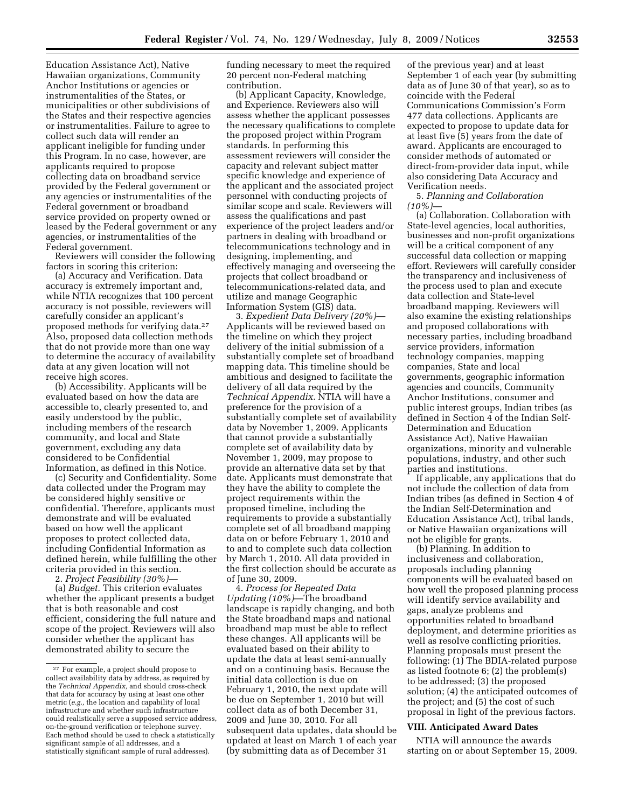Education Assistance Act), Native Hawaiian organizations, Community Anchor Institutions or agencies or instrumentalities of the States, or municipalities or other subdivisions of the States and their respective agencies or instrumentalities. Failure to agree to collect such data will render an applicant ineligible for funding under this Program. In no case, however, are applicants required to propose collecting data on broadband service provided by the Federal government or any agencies or instrumentalities of the Federal government or broadband service provided on property owned or leased by the Federal government or any agencies, or instrumentalities of the Federal government.

Reviewers will consider the following factors in scoring this criterion:

(a) Accuracy and Verification. Data accuracy is extremely important and, while NTIA recognizes that 100 percent accuracy is not possible, reviewers will carefully consider an applicant's proposed methods for verifying data.27 Also, proposed data collection methods that do not provide more than one way to determine the accuracy of availability data at any given location will not receive high scores.

(b) Accessibility*.* Applicants will be evaluated based on how the data are accessible to, clearly presented to, and easily understood by the public, including members of the research community, and local and State government, excluding any data considered to be Confidential Information, as defined in this Notice.

(c) Security and Confidentiality. Some data collected under the Program may be considered highly sensitive or confidential. Therefore, applicants must demonstrate and will be evaluated based on how well the applicant proposes to protect collected data, including Confidential Information as defined herein, while fulfilling the other criteria provided in this section.

2. *Project Feasibility (30%)*—

(a) *Budget.* This criterion evaluates whether the applicant presents a budget that is both reasonable and cost efficient, considering the full nature and scope of the project. Reviewers will also consider whether the applicant has demonstrated ability to secure the

funding necessary to meet the required 20 percent non-Federal matching contribution.

(b) Applicant Capacity, Knowledge, and Experience. Reviewers also will assess whether the applicant possesses the necessary qualifications to complete the proposed project within Program standards. In performing this assessment reviewers will consider the capacity and relevant subject matter specific knowledge and experience of the applicant and the associated project personnel with conducting projects of similar scope and scale. Reviewers will assess the qualifications and past experience of the project leaders and/or partners in dealing with broadband or telecommunications technology and in designing, implementing, and effectively managing and overseeing the projects that collect broadband or telecommunications-related data, and utilize and manage Geographic Information System (GIS) data.

3. *Expedient Data Delivery (20%)*— Applicants will be reviewed based on the timeline on which they project delivery of the initial submission of a substantially complete set of broadband mapping data. This timeline should be ambitious and designed to facilitate the delivery of all data required by the *Technical Appendix.* NTIA will have a preference for the provision of a substantially complete set of availability data by November 1, 2009. Applicants that cannot provide a substantially complete set of availability data by November 1, 2009, may propose to provide an alternative data set by that date. Applicants must demonstrate that they have the ability to complete the project requirements within the proposed timeline, including the requirements to provide a substantially complete set of all broadband mapping data on or before February 1, 2010 and to and to complete such data collection by March 1, 2010. All data provided in the first collection should be accurate as of June 30, 2009.

4. *Process for Repeated Data Updating (10%)*—The broadband landscape is rapidly changing, and both the State broadband maps and national broadband map must be able to reflect these changes. All applicants will be evaluated based on their ability to update the data at least semi-annually and on a continuing basis. Because the initial data collection is due on February 1, 2010, the next update will be due on September 1, 2010 but will collect data as of both December 31, 2009 and June 30, 2010. For all subsequent data updates, data should be updated at least on March 1 of each year (by submitting data as of December 31

of the previous year) and at least September 1 of each year (by submitting data as of June 30 of that year), so as to coincide with the Federal Communications Commission's Form 477 data collections. Applicants are expected to propose to update data for at least five (5) years from the date of award. Applicants are encouraged to consider methods of automated or direct-from-provider data input, while also considering Data Accuracy and Verification needs.

5. *Planning and Collaboration (10%)*—

(a) Collaboration. Collaboration with State-level agencies, local authorities, businesses and non-profit organizations will be a critical component of any successful data collection or mapping effort. Reviewers will carefully consider the transparency and inclusiveness of the process used to plan and execute data collection and State-level broadband mapping. Reviewers will also examine the existing relationships and proposed collaborations with necessary parties, including broadband service providers, information technology companies, mapping companies, State and local governments, geographic information agencies and councils, Community Anchor Institutions, consumer and public interest groups, Indian tribes (as defined in Section 4 of the Indian Self-Determination and Education Assistance Act), Native Hawaiian organizations, minority and vulnerable populations, industry, and other such parties and institutions.

If applicable, any applications that do not include the collection of data from Indian tribes (as defined in Section 4 of the Indian Self-Determination and Education Assistance Act), tribal lands, or Native Hawaiian organizations will not be eligible for grants.

(b) Planning. In addition to inclusiveness and collaboration, proposals including planning components will be evaluated based on how well the proposed planning process will identify service availability and gaps, analyze problems and opportunities related to broadband deployment, and determine priorities as well as resolve conflicting priorities. Planning proposals must present the following: (1) The BDIA-related purpose as listed footnote 6; (2) the problem(s) to be addressed; (3) the proposed solution; (4) the anticipated outcomes of the project; and (5) the cost of such proposal in light of the previous factors.

## **VIII. Anticipated Award Dates**

NTIA will announce the awards starting on or about September 15, 2009.

<sup>27</sup> For example, a project should propose to collect availability data by address, as required by the *Technical Appendix,* and should cross-check that data for accuracy by using at least one other metric (*e.g.,* the location and capability of local infrastructure and whether such infrastructure could realistically serve a supposed service address, on-the-ground verification or telephone survey. Each method should be used to check a statistically significant sample of all addresses, and a statistically significant sample of rural addresses).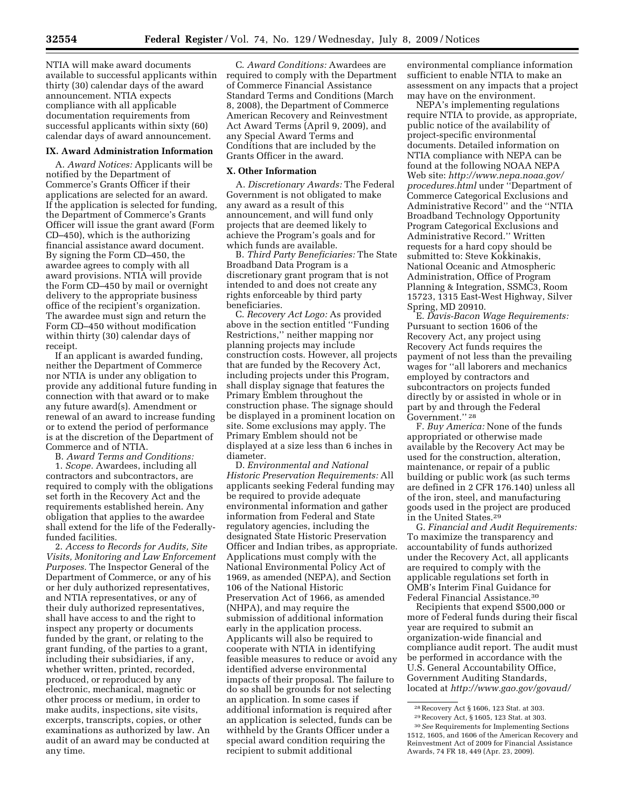NTIA will make award documents available to successful applicants within thirty (30) calendar days of the award announcement. NTIA expects compliance with all applicable documentation requirements from successful applicants within sixty (60) calendar days of award announcement.

### **IX. Award Administration Information**

A. *Award Notices:* Applicants will be notified by the Department of Commerce's Grants Officer if their applications are selected for an award. If the application is selected for funding, the Department of Commerce's Grants Officer will issue the grant award (Form CD–450), which is the authorizing financial assistance award document. By signing the Form CD–450, the awardee agrees to comply with all award provisions. NTIA will provide the Form CD–450 by mail or overnight delivery to the appropriate business office of the recipient's organization. The awardee must sign and return the Form CD–450 without modification within thirty (30) calendar days of receipt.

If an applicant is awarded funding, neither the Department of Commerce nor NTIA is under any obligation to provide any additional future funding in connection with that award or to make any future award(s). Amendment or renewal of an award to increase funding or to extend the period of performance is at the discretion of the Department of Commerce and of NTIA.

B. *Award Terms and Conditions:* 

1. *Scope.* Awardees, including all contractors and subcontractors, are required to comply with the obligations set forth in the Recovery Act and the requirements established herein. Any obligation that applies to the awardee shall extend for the life of the Federallyfunded facilities.

2. *Access to Records for Audits, Site Visits, Monitoring and Law Enforcement Purposes.* The Inspector General of the Department of Commerce, or any of his or her duly authorized representatives, and NTIA representatives, or any of their duly authorized representatives, shall have access to and the right to inspect any property or documents funded by the grant, or relating to the grant funding, of the parties to a grant, including their subsidiaries, if any, whether written, printed, recorded, produced, or reproduced by any electronic, mechanical, magnetic or other process or medium, in order to make audits, inspections, site visits, excerpts, transcripts, copies, or other examinations as authorized by law. An audit of an award may be conducted at any time.

C. *Award Conditions:* Awardees are required to comply with the Department of Commerce Financial Assistance Standard Terms and Conditions (March 8, 2008), the Department of Commerce American Recovery and Reinvestment Act Award Terms (April 9, 2009), and any Special Award Terms and Conditions that are included by the Grants Officer in the award.

#### **X. Other Information**

A. *Discretionary Awards:* The Federal Government is not obligated to make any award as a result of this announcement, and will fund only projects that are deemed likely to achieve the Program's goals and for which funds are available.

B. *Third Party Beneficiaries:* The State Broadband Data Program is a discretionary grant program that is not intended to and does not create any rights enforceable by third party beneficiaries.

C. *Recovery Act Logo:* As provided above in the section entitled ''Funding Restrictions,'' neither mapping nor planning projects may include construction costs. However, all projects that are funded by the Recovery Act, including projects under this Program, shall display signage that features the Primary Emblem throughout the construction phase. The signage should be displayed in a prominent location on site. Some exclusions may apply. The Primary Emblem should not be displayed at a size less than 6 inches in diameter.

D. *Environmental and National Historic Preservation Requirements:* All applicants seeking Federal funding may be required to provide adequate environmental information and gather information from Federal and State regulatory agencies, including the designated State Historic Preservation Officer and Indian tribes, as appropriate. Applications must comply with the National Environmental Policy Act of 1969, as amended (NEPA), and Section 106 of the National Historic Preservation Act of 1966, as amended (NHPA), and may require the submission of additional information early in the application process. Applicants will also be required to cooperate with NTIA in identifying feasible measures to reduce or avoid any identified adverse environmental impacts of their proposal. The failure to do so shall be grounds for not selecting an application. In some cases if additional information is required after an application is selected, funds can be withheld by the Grants Officer under a special award condition requiring the recipient to submit additional

environmental compliance information sufficient to enable NTIA to make an assessment on any impacts that a project may have on the environment.

NEPA's implementing regulations require NTIA to provide, as appropriate, public notice of the availability of project-specific environmental documents. Detailed information on NTIA compliance with NEPA can be found at the following NOAA NEPA Web site: *http://www.nepa.noaa.gov/ procedures.html* under ''Department of Commerce Categorical Exclusions and Administrative Record'' and the ''NTIA Broadband Technology Opportunity Program Categorical Exclusions and Administrative Record.'' Written requests for a hard copy should be submitted to: Steve Kokkinakis, National Oceanic and Atmospheric Administration, Office of Program Planning & Integration, SSMC3, Room 15723, 1315 East-West Highway, Silver Spring, MD 20910.

E. *Davis-Bacon Wage Requirements:*  Pursuant to section 1606 of the Recovery Act, any project using Recovery Act funds requires the payment of not less than the prevailing wages for ''all laborers and mechanics employed by contractors and subcontractors on projects funded directly by or assisted in whole or in part by and through the Federal Government.'' 28

F. *Buy America:* None of the funds appropriated or otherwise made available by the Recovery Act may be used for the construction, alteration, maintenance, or repair of a public building or public work (as such terms are defined in 2 CFR 176.140) unless all of the iron, steel, and manufacturing goods used in the project are produced in the United States.29

G. *Financial and Audit Requirements:*  To maximize the transparency and accountability of funds authorized under the Recovery Act, all applicants are required to comply with the applicable regulations set forth in OMB's Interim Final Guidance for Federal Financial Assistance.30

Recipients that expend \$500,000 or more of Federal funds during their fiscal year are required to submit an organization-wide financial and compliance audit report. The audit must be performed in accordance with the U.S. General Accountability Office, Government Auditing Standards, located at *http://www.gao.gov/govaud/* 

<sup>28</sup>Recovery Act § 1606, 123 Stat. at 303.

<sup>29</sup>Recovery Act, § 1605, 123 Stat. at 303. 30*See* Requirements for Implementing Sections 1512, 1605, and 1606 of the American Recovery and Reinvestment Act of 2009 for Financial Assistance Awards, 74 FR 18, 449 (Apr. 23, 2009).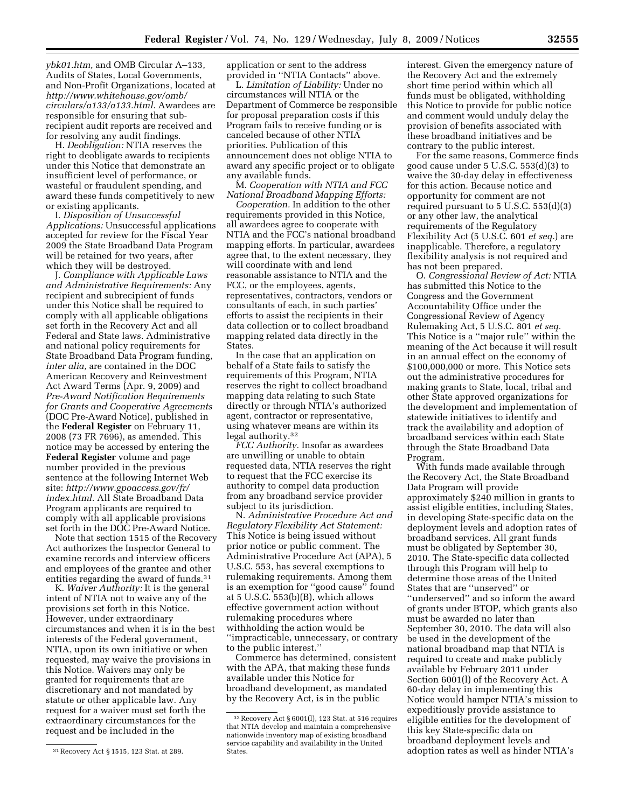*ybk01.htm,* and OMB Circular A–133, Audits of States, Local Governments, and Non-Profit Organizations, located at *http://www.whitehouse.gov/omb/ circulars/a133/a133.html.* Awardees are responsible for ensuring that subrecipient audit reports are received and for resolving any audit findings.

H. *Deobligation:* NTIA reserves the right to deobligate awards to recipients under this Notice that demonstrate an insufficient level of performance, or wasteful or fraudulent spending, and award these funds competitively to new or existing applicants.

I. *Disposition of Unsuccessful Applications:* Unsuccessful applications accepted for review for the Fiscal Year 2009 the State Broadband Data Program will be retained for two years, after which they will be destroyed.

J. *Compliance with Applicable Laws and Administrative Requirements:* Any recipient and subrecipient of funds under this Notice shall be required to comply with all applicable obligations set forth in the Recovery Act and all Federal and State laws. Administrative and national policy requirements for State Broadband Data Program funding, *inter alia,* are contained in the DOC American Recovery and Reinvestment Act Award Terms (Apr. 9, 2009) and *Pre-Award Notification Requirements for Grants and Cooperative Agreements*  (DOC Pre-Award Notice), published in the **Federal Register** on February 11, 2008 (73 FR 7696), as amended. This notice may be accessed by entering the **Federal Register** volume and page number provided in the previous sentence at the following Internet Web site: *http://www.gpoaccess.gov/fr/ index.html*. All State Broadband Data Program applicants are required to comply with all applicable provisions set forth in the DOC Pre-Award Notice.

Note that section 1515 of the Recovery Act authorizes the Inspector General to examine records and interview officers and employees of the grantee and other entities regarding the award of funds.<sup>31</sup>

K. *Waiver Authority:* It is the general intent of NTIA not to waive any of the provisions set forth in this Notice. However, under extraordinary circumstances and when it is in the best interests of the Federal government, NTIA, upon its own initiative or when requested, may waive the provisions in this Notice. Waivers may only be granted for requirements that are discretionary and not mandated by statute or other applicable law. Any request for a waiver must set forth the extraordinary circumstances for the request and be included in the

application or sent to the address provided in ''NTIA Contacts'' above.

L. *Limitation of Liability:* Under no circumstances will NTIA or the Department of Commerce be responsible for proposal preparation costs if this Program fails to receive funding or is canceled because of other NTIA priorities. Publication of this announcement does not oblige NTIA to award any specific project or to obligate any available funds.

M. *Cooperation with NTIA and FCC National Broadband Mapping Efforts:* 

*Cooperation.* In addition to the other requirements provided in this Notice, all awardees agree to cooperate with NTIA and the FCC's national broadband mapping efforts. In particular, awardees agree that, to the extent necessary, they will coordinate with and lend reasonable assistance to NTIA and the FCC, or the employees, agents, representatives, contractors, vendors or consultants of each, in such parties' efforts to assist the recipients in their data collection or to collect broadband mapping related data directly in the States.

In the case that an application on behalf of a State fails to satisfy the requirements of this Program, NTIA reserves the right to collect broadband mapping data relating to such State directly or through NTIA's authorized agent, contractor or representative, using whatever means are within its legal authority.32

*FCC Authority.* Insofar as awardees are unwilling or unable to obtain requested data, NTIA reserves the right to request that the FCC exercise its authority to compel data production from any broadband service provider subject to its jurisdiction.

N. *Administrative Procedure Act and Regulatory Flexibility Act Statement:*  This Notice is being issued without prior notice or public comment. The Administrative Procedure Act (APA), 5 U.S.C. 553, has several exemptions to rulemaking requirements. Among them is an exemption for ''good cause'' found at 5 U.S.C. 553(b)(B), which allows effective government action without rulemaking procedures where withholding the action would be ''impracticable, unnecessary, or contrary to the public interest.''

Commerce has determined, consistent with the APA, that making these funds available under this Notice for broadband development, as mandated by the Recovery Act, is in the public

interest. Given the emergency nature of the Recovery Act and the extremely short time period within which all funds must be obligated, withholding this Notice to provide for public notice and comment would unduly delay the provision of benefits associated with these broadband initiatives and be contrary to the public interest.

For the same reasons, Commerce finds good cause under 5 U.S.C. 553(d)(3) to waive the 30-day delay in effectiveness for this action. Because notice and opportunity for comment are not required pursuant to 5 U.S.C. 553(d)(3) or any other law, the analytical requirements of the Regulatory Flexibility Act (5 U.S.C. 601 *et seq.*) are inapplicable. Therefore, a regulatory flexibility analysis is not required and has not been prepared.

O. *Congressional Review of Act:* NTIA has submitted this Notice to the Congress and the Government Accountability Office under the Congressional Review of Agency Rulemaking Act, 5 U.S.C. 801 *et seq.*  This Notice is a ''major rule'' within the meaning of the Act because it will result in an annual effect on the economy of \$100,000,000 or more. This Notice sets out the administrative procedures for making grants to State, local, tribal and other State approved organizations for the development and implementation of statewide initiatives to identify and track the availability and adoption of broadband services within each State through the State Broadband Data Program.

With funds made available through the Recovery Act, the State Broadband Data Program will provide approximately \$240 million in grants to assist eligible entities, including States, in developing State-specific data on the deployment levels and adoption rates of broadband services. All grant funds must be obligated by September 30, 2010. The State-specific data collected through this Program will help to determine those areas of the United States that are ''unserved'' or ''underserved'' and so inform the award of grants under BTOP, which grants also must be awarded no later than September 30, 2010. The data will also be used in the development of the national broadband map that NTIA is required to create and make publicly available by February 2011 under Section 6001(l) of the Recovery Act. A 60-day delay in implementing this Notice would hamper NTIA's mission to expeditiously provide assistance to eligible entities for the development of this key State-specific data on broadband deployment levels and adoption rates as well as hinder NTIA's

<sup>31</sup>Recovery Act § 1515, 123 Stat. at 289.

<sup>32</sup>Recovery Act § 6001(l), 123 Stat. at 516 requires that NTIA develop and maintain a comprehensive nationwide inventory map of existing broadband service capability and availability in the United States.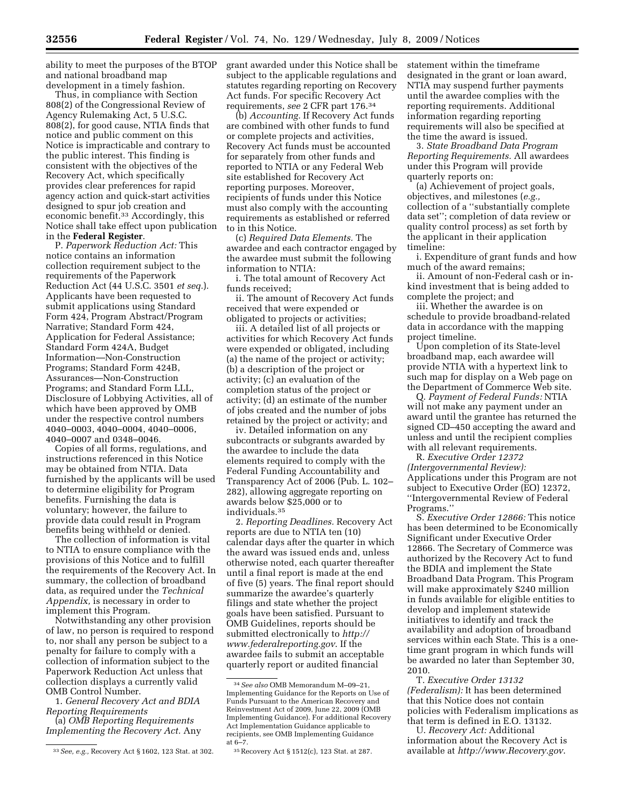ability to meet the purposes of the BTOP and national broadband map development in a timely fashion.

Thus, in compliance with Section 808(2) of the Congressional Review of Agency Rulemaking Act, 5 U.S.C. 808(2), for good cause, NTIA finds that notice and public comment on this Notice is impracticable and contrary to the public interest. This finding is consistent with the objectives of the Recovery Act, which specifically provides clear preferences for rapid agency action and quick-start activities designed to spur job creation and economic benefit.33 Accordingly, this Notice shall take effect upon publication in the **Federal Register**.

P. *Paperwork Reduction Act:* This notice contains an information collection requirement subject to the requirements of the Paperwork Reduction Act (44 U.S.C. 3501 *et seq.*). Applicants have been requested to submit applications using Standard Form 424, Program Abstract/Program Narrative; Standard Form 424, Application for Federal Assistance; Standard Form 424A, Budget Information—Non-Construction Programs; Standard Form 424B, Assurances—Non-Construction Programs; and Standard Form LLL, Disclosure of Lobbying Activities, all of which have been approved by OMB under the respective control numbers 4040–0003, 4040–0004, 4040–0006, 4040–0007 and 0348–0046.

Copies of all forms, regulations, and instructions referenced in this Notice may be obtained from NTIA. Data furnished by the applicants will be used to determine eligibility for Program benefits. Furnishing the data is voluntary; however, the failure to provide data could result in Program benefits being withheld or denied.

The collection of information is vital to NTIA to ensure compliance with the provisions of this Notice and to fulfill the requirements of the Recovery Act. In summary, the collection of broadband data, as required under the *Technical Appendix,* is necessary in order to implement this Program.

Notwithstanding any other provision of law, no person is required to respond to, nor shall any person be subject to a penalty for failure to comply with a collection of information subject to the Paperwork Reduction Act unless that collection displays a currently valid OMB Control Number.

1. *General Recovery Act and BDIA Reporting Requirements* 

(a) *OMB Reporting Requirements Implementing the Recovery Act.* Any grant awarded under this Notice shall be subject to the applicable regulations and statutes regarding reporting on Recovery Act funds. For specific Recovery Act requirements, *see* 2 CFR part 176.34

(b) *Accounting.* If Recovery Act funds are combined with other funds to fund or complete projects and activities, Recovery Act funds must be accounted for separately from other funds and reported to NTIA or any Federal Web site established for Recovery Act reporting purposes. Moreover, recipients of funds under this Notice must also comply with the accounting requirements as established or referred to in this Notice.

(c) *Required Data Elements.* The awardee and each contractor engaged by the awardee must submit the following information to NTIA:

i. The total amount of Recovery Act funds received;

ii. The amount of Recovery Act funds received that were expended or obligated to projects or activities;

iii. A detailed list of all projects or activities for which Recovery Act funds were expended or obligated, including (a) the name of the project or activity; (b) a description of the project or activity; (c) an evaluation of the completion status of the project or activity; (d) an estimate of the number of jobs created and the number of jobs retained by the project or activity; and

iv. Detailed information on any subcontracts or subgrants awarded by the awardee to include the data elements required to comply with the Federal Funding Accountability and Transparency Act of 2006 (Pub. L. 102– 282), allowing aggregate reporting on awards below \$25,000 or to individuals.35

2. *Reporting Deadlines.* Recovery Act reports are due to NTIA ten (10) calendar days after the quarter in which the award was issued ends and, unless otherwise noted, each quarter thereafter until a final report is made at the end of five (5) years. The final report should summarize the awardee's quarterly filings and state whether the project goals have been satisfied. Pursuant to OMB Guidelines, reports should be submitted electronically to *http:// www.federalreporting.gov*. If the awardee fails to submit an acceptable quarterly report or audited financial

statement within the timeframe designated in the grant or loan award, NTIA may suspend further payments until the awardee complies with the reporting requirements. Additional information regarding reporting requirements will also be specified at the time the award is issued.

3. *State Broadband Data Program Reporting Requirements.* All awardees under this Program will provide quarterly reports on:

(a) Achievement of project goals, objectives, and milestones (*e.g.,*  collection of a ''substantially complete data set''; completion of data review or quality control process) as set forth by the applicant in their application timeline:

i. Expenditure of grant funds and how much of the award remains;

ii. Amount of non-Federal cash or inkind investment that is being added to complete the project; and

iii. Whether the awardee is on schedule to provide broadband-related data in accordance with the mapping project timeline.

Upon completion of its State-level broadband map, each awardee will provide NTIA with a hypertext link to such map for display on a Web page on the Department of Commerce Web site.

Q. *Payment of Federal Funds:* NTIA will not make any payment under an award until the grantee has returned the signed CD–450 accepting the award and unless and until the recipient complies with all relevant requirements.

R. *Executive Order 12372 (Intergovernmental Review):*  Applications under this Program are not subject to Executive Order (EO) 12372, ''Intergovernmental Review of Federal Programs.''

S. *Executive Order 12866:* This notice has been determined to be Economically Significant under Executive Order 12866. The Secretary of Commerce was authorized by the Recovery Act to fund the BDIA and implement the State Broadband Data Program. This Program will make approximately \$240 million in funds available for eligible entities to develop and implement statewide initiatives to identify and track the availability and adoption of broadband services within each State. This is a onetime grant program in which funds will be awarded no later than September 30, 2010.

T. *Executive Order 13132 (Federalism):* It has been determined that this Notice does not contain policies with Federalism implications as that term is defined in E.O. 13132.

U. *Recovery Act:* Additional information about the Recovery Act is available at *http://www.Recovery.gov*.

<sup>33</sup>*See, e.g.,* Recovery Act § 1602, 123 Stat. at 302.

<sup>34</sup>*See also* OMB Memorandum M–09–21, Implementing Guidance for the Reports on Use of Funds Pursuant to the American Recovery and Reinvestment Act of 2009, June 22, 2009 (OMB Implementing Guidance). For additional Recovery Act Implementation Guidance applicable to recipients, see OMB Implementing Guidance at 6–7.

<sup>35</sup>Recovery Act § 1512(c), 123 Stat. at 287.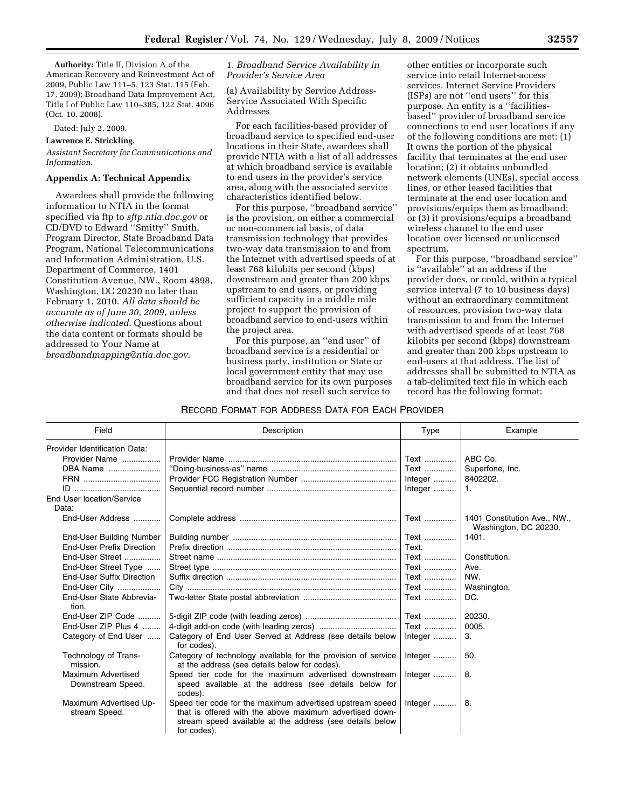**Authority:** Title II, Division A of the American Recovery and Reinvestment Act of 2009, Public Law 111–5, 123 Stat. 115 (Feb. 17, 2009); Broadband Data Improvement Act, Title I of Public Law 110–385, 122 Stat. 4096 (Oct. 10, 2008).

Dated: July 2, 2009.

### **Lawrence E. Strickling,**

*Assistant Secretary for Communications and Information.* 

## **Appendix A: Technical Appendix**

Awardees shall provide the following information to NTIA in the format specified via ftp to *sftp.ntia.doc.gov* or CD/DVD to Edward ''Smitty'' Smith, Program Director, State Broadband Data Program, National Telecommunications and Information Administration, U.S. Department of Commerce, 1401 Constitution Avenue, NW., Room 4898, Washington, DC 20230 no later than February 1, 2010. *All data should be accurate as of June 30, 2009, unless otherwise indicated.* Questions about the data content or formats should be addressed to Your Name at *broadbandmapping@ntia.doc.gov.* 

### *1. Broadband Service Availability in Provider's Service Area*

(a) Availability by Service Address-Service Associated With Specific Addresses

For each facilities-based provider of broadband service to specified end-user locations in their State, awardees shall provide NTIA with a list of all addresses at which broadband service is available to end users in the provider's service area, along with the associated service characteristics identified below.

For this purpose, ''broadband service'' is the provision, on either a commercial or non-commercial basis, of data transmission technology that provides two-way data transmission to and from the Internet with advertised speeds of at least 768 kilobits per second (kbps) downstream and greater than 200 kbps upstream to end users, or providing sufficient capacity in a middle mile project to support the provision of broadband service to end-users within the project area.

For this purpose, an ''end user'' of broadband service is a residential or business party, institution or State or local government entity that may use broadband service for its own purposes and that does not resell such service to

other entities or incorporate such service into retail Internet-access services. Internet Service Providers (ISPs) are not ''end users'' for this purpose. An entity is a ''facilitiesbased'' provider of broadband service connections to end user locations if any of the following conditions are met: (1) It owns the portion of the physical facility that terminates at the end user location; (2) it obtains unbundled network elements (UNEs), special access lines, or other leased facilities that terminate at the end user location and provisions/equips them as broadband; or (3) it provisions/equips a broadband wireless channel to the end user location over licensed or unlicensed spectrum.

For this purpose, ''broadband service'' is ''available'' at an address if the provider does, or could, within a typical service interval (7 to 10 business days) without an extraordinary commitment of resources, provision two-way data transmission to and from the Internet with advertised speeds of at least 768 kilobits per second (kbps) downstream and greater than 200 kbps upstream to end-users at that address. The list of addresses shall be submitted to NTIA as a tab-delimited text file in which each record has the following format:

#### RECORD FORMAT FOR ADDRESS DATA FOR EACH PROVIDER

| Field                                   | Description                                                                                                                                                                                     | Type    | Example                                               |
|-----------------------------------------|-------------------------------------------------------------------------------------------------------------------------------------------------------------------------------------------------|---------|-------------------------------------------------------|
| Provider Identification Data:           |                                                                                                                                                                                                 |         |                                                       |
| Provider Name                           |                                                                                                                                                                                                 | Text    | ABC Co.                                               |
| DBA Name                                |                                                                                                                                                                                                 | Text    | Superfone, Inc.                                       |
| FRN                                     |                                                                                                                                                                                                 | Integer | 8402202.                                              |
|                                         |                                                                                                                                                                                                 | Integer | 1.                                                    |
| End User location/Service<br>Data:      |                                                                                                                                                                                                 |         |                                                       |
| End-User Address                        |                                                                                                                                                                                                 | Text    | 1401 Constitution Ave., NW.,<br>Washington, DC 20230. |
| <b>End-User Building Number</b>         |                                                                                                                                                                                                 | Text    | 1401.                                                 |
| <b>End-User Prefix Direction</b>        |                                                                                                                                                                                                 | Text.   |                                                       |
| End-User Street                         |                                                                                                                                                                                                 | Text    | Constitution.                                         |
| End-User Street Type                    |                                                                                                                                                                                                 | Text    | Ave.                                                  |
| End-User Suffix Direction               |                                                                                                                                                                                                 | Text    | NW.                                                   |
| End-User City                           |                                                                                                                                                                                                 | Text    | Washington.                                           |
| End-User State Abbrevia-<br>tion.       |                                                                                                                                                                                                 | Text    | DC.                                                   |
| End-User ZIP Code                       |                                                                                                                                                                                                 | Text    | 20230.                                                |
| End-User ZIP Plus 4                     |                                                                                                                                                                                                 | Text    | 0005.                                                 |
| Category of End User                    | Category of End User Served at Address (see details below<br>for codes).                                                                                                                        | Integer | 3.                                                    |
| Technology of Trans-<br>mission.        | Category of technology available for the provision of service<br>at the address (see details below for codes).                                                                                  | Integer | 50.                                                   |
| Maximum Advertised<br>Downstream Speed. | Speed tier code for the maximum advertised downstream<br>speed available at the address (see details below for<br>codes).                                                                       | Integer | -8.                                                   |
| Maximum Advertised Up-<br>stream Speed. | Speed tier code for the maximum advertised upstream speed<br>that is offered with the above maximum advertised down-<br>stream speed available at the address (see details below<br>for codes). | Integer | 8.                                                    |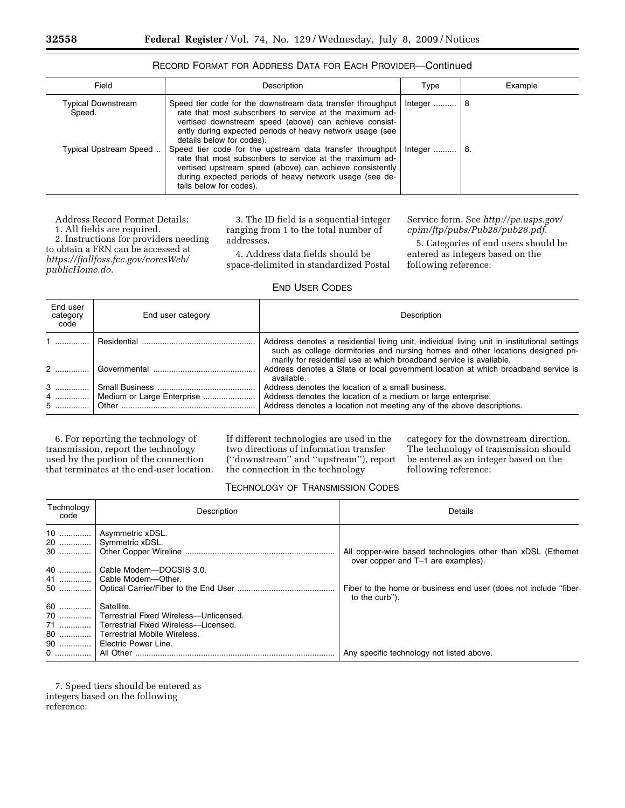| Field                        | Description                                                                                                                                                                                                                                                                 | Type    | Example |
|------------------------------|-----------------------------------------------------------------------------------------------------------------------------------------------------------------------------------------------------------------------------------------------------------------------------|---------|---------|
| Typical Downstream<br>Speed. | Speed tier code for the downstream data transfer throughput<br>rate that most subscribers to service at the maximum ad-<br>vertised downstream speed (above) can achieve consist-<br>ently during expected periods of heavy network usage (see<br>details below for codes). | Integer | 8       |
| Typical Upstream Speed       | Speed tier code for the upstream data transfer throughput<br>rate that most subscribers to service at the maximum ad-<br>vertised upstream speed (above) can achieve consistently<br>during expected periods of heavy network usage (see de-<br>tails below for codes).     | Integer | 8.      |

# RECORD FORMAT FOR ADDRESS DATA FOR EACH PROVIDER—Continued

Address Record Format Details:

1. All fields are required. 2. Instructions for providers needing to obtain a FRN can be accessed at

*https://fjallfoss.fcc.gov/coresWeb/ publicHome.do.* 

3. The ID field is a sequential integer ranging from 1 to the total number of addresses.

4. Address data fields should be space-delimited in standardized Postal

Service form. See *http://pe.usps.gov/ cpim/ftp/pubs/Pub28/pub28.pdf*.

5. Categories of end users should be entered as integers based on the following reference:

## END USER CODES

| End user<br>category<br>code | End user category               | Description                                                                                                                                                                                                                                           |
|------------------------------|---------------------------------|-------------------------------------------------------------------------------------------------------------------------------------------------------------------------------------------------------------------------------------------------------|
|                              |                                 | Address denotes a residential living unit, individual living unit in institutional settings<br>such as college dormitories and nursing homes and other locations designed pri-<br>marily for residential use at which broadband service is available. |
|                              |                                 | Address denotes a State or local government location at which broadband service is<br>available.                                                                                                                                                      |
| 3                            |                                 | Address denotes the location of a small business.                                                                                                                                                                                                     |
|                              | 4    Medium or Large Enterprise | Address denotes the location of a medium or large enterprise.                                                                                                                                                                                         |
|                              |                                 | Address denotes a location not meeting any of the above descriptions.                                                                                                                                                                                 |

6. For reporting the technology of transmission, report the technology used by the portion of the connection that terminates at the end-user location. If different technologies are used in the two directions of information transfer (''downstream'' and ''upstream''), report the connection in the technology

category for the downstream direction. The technology of transmission should be entered as an integer based on the following reference:

# TECHNOLOGY OF TRANSMISSION CODES

| Technology<br>code | Description                                | Details                                                                                            |
|--------------------|--------------------------------------------|----------------------------------------------------------------------------------------------------|
|                    | Asymmetric xDSL.                           |                                                                                                    |
|                    | 20    Symmetric xDSL.                      |                                                                                                    |
|                    |                                            | All copper-wire based technologies other than xDSL (Ethernet<br>over copper and T-1 are examples). |
| $40$               | Cable Modem-DOCSIS 3.0.                    |                                                                                                    |
| 41                 | Cable Modem-Other.                         |                                                                                                    |
| 50                 |                                            | Fiber to the home or business end user (does not include "fiber"<br>to the curb").                 |
| 60                 | Satellite.                                 |                                                                                                    |
|                    | 70  Terrestrial Fixed Wireless-Unlicensed. |                                                                                                    |
|                    | 71    Terrestrial Fixed Wireless—Licensed. |                                                                                                    |
|                    | 80    Terrestrial Mobile Wireless.         |                                                                                                    |
| 90                 | Electric Power Line.                       |                                                                                                    |
|                    |                                            | Any specific technology not listed above.                                                          |

7. Speed tiers should be entered as integers based on the following reference: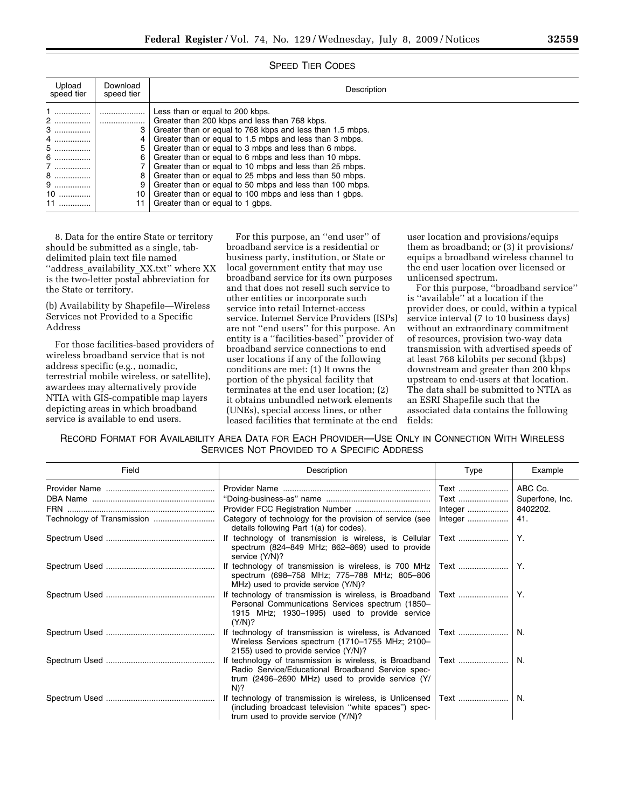| Upload<br>speed tier                             | Download<br>speed tier | Description                                                                                                                                                                                                                                                                                                                                                                                                                                                                                                                                                                                                  |
|--------------------------------------------------|------------------------|--------------------------------------------------------------------------------------------------------------------------------------------------------------------------------------------------------------------------------------------------------------------------------------------------------------------------------------------------------------------------------------------------------------------------------------------------------------------------------------------------------------------------------------------------------------------------------------------------------------|
| 2<br>3<br>4<br>5<br>6<br>7<br>8<br>9<br>10<br>11 | <br>4<br>6<br>8<br>10  | Less than or equal to 200 kbps.<br>Greater than 200 kbps and less than 768 kbps.<br>Greater than or equal to 768 kbps and less than 1.5 mbps.<br>Greater than or equal to 1.5 mbps and less than 3 mbps.<br>Greater than or equal to 3 mbps and less than 6 mbps.<br>Greater than or equal to 6 mbps and less than 10 mbps.<br>Greater than or equal to 10 mbps and less than 25 mbps.<br>Greater than or equal to 25 mbps and less than 50 mbps.<br>Greater than or equal to 50 mbps and less than 100 mbps.<br>Greater than or equal to 100 mbps and less than 1 abps.<br>Greater than or equal to 1 gbps. |

### SPEED TIER CODES

8. Data for the entire State or territory should be submitted as a single, tabdelimited plain text file named ''address\_availability\_XX.txt'' where XX is the two-letter postal abbreviation for the State or territory.

(b) Availability by Shapefile—Wireless Services not Provided to a Specific Address

For those facilities-based providers of wireless broadband service that is not address specific (e.g., nomadic, terrestrial mobile wireless, or satellite), awardees may alternatively provide NTIA with GIS-compatible map layers depicting areas in which broadband service is available to end users.

For this purpose, an ''end user'' of broadband service is a residential or business party, institution, or State or local government entity that may use broadband service for its own purposes and that does not resell such service to other entities or incorporate such service into retail Internet-access service. Internet Service Providers (ISPs) are not ''end users'' for this purpose. An entity is a ''facilities-based'' provider of broadband service connections to end user locations if any of the following conditions are met: (1) It owns the portion of the physical facility that terminates at the end user location; (2) it obtains unbundled network elements (UNEs), special access lines, or other leased facilities that terminate at the end user location and provisions/equips them as broadband; or (3) it provisions/ equips a broadband wireless channel to the end user location over licensed or unlicensed spectrum.

For this purpose, ''broadband service'' is ''available'' at a location if the provider does, or could, within a typical service interval (7 to 10 business days) without an extraordinary commitment of resources, provision two-way data transmission with advertised speeds of at least 768 kilobits per second (kbps) downstream and greater than 200 kbps upstream to end-users at that location. The data shall be submitted to NTIA as an ESRI Shapefile such that the associated data contains the following fields:

RECORD FORMAT FOR AVAILABILITY AREA DATA FOR EACH PROVIDER—USE ONLY IN CONNECTION WITH WIRELESS SERVICES NOT PROVIDED TO A SPECIFIC ADDRESS

| Field                      | Description                                                                                                                                                                  | Type    | Example         |
|----------------------------|------------------------------------------------------------------------------------------------------------------------------------------------------------------------------|---------|-----------------|
|                            |                                                                                                                                                                              | Text    | ABC Co.         |
|                            |                                                                                                                                                                              | Text    | Superfone, Inc. |
|                            |                                                                                                                                                                              |         |                 |
| Technology of Transmission | Category of technology for the provision of service (see<br>details following Part 1(a) for codes).                                                                          | Integer | 41.             |
|                            | technology of transmission is wireless, is Cellular<br>spectrum (824-849 MHz; 862-869) used to provide<br>service (Y/N)?                                                     |         |                 |
|                            | If technology of transmission is wireless, is 700 MHz<br>spectrum (698-758 MHz; 775-788 MHz; 805-806<br>MHz) used to provide service (Y/N)?                                  | Text    | Y.              |
|                            | If technology of transmission is wireless, is Broadband   Text<br>Personal Communications Services spectrum (1850-<br>1915 MHz; 1930–1995) used to provide service<br>(Y/N)? |         | Y.              |
|                            | If technology of transmission is wireless, is Advanced<br>Wireless Services spectrum (1710-1755 MHz; 2100-<br>2155) used to provide service (Y/N)?                           |         | N.              |
|                            | If technology of transmission is wireless, is Broadband<br>Radio Service/Educational Broadband Service spec-<br>trum (2496-2690 MHz) used to provide service (Y/<br>$N$ )?   | Text    | N.              |
|                            | If technology of transmission is wireless, is Unlicensed<br>(including broadcast television "white spaces") spec-<br>trum used to provide service (Y/N)?                     | Text    | N.              |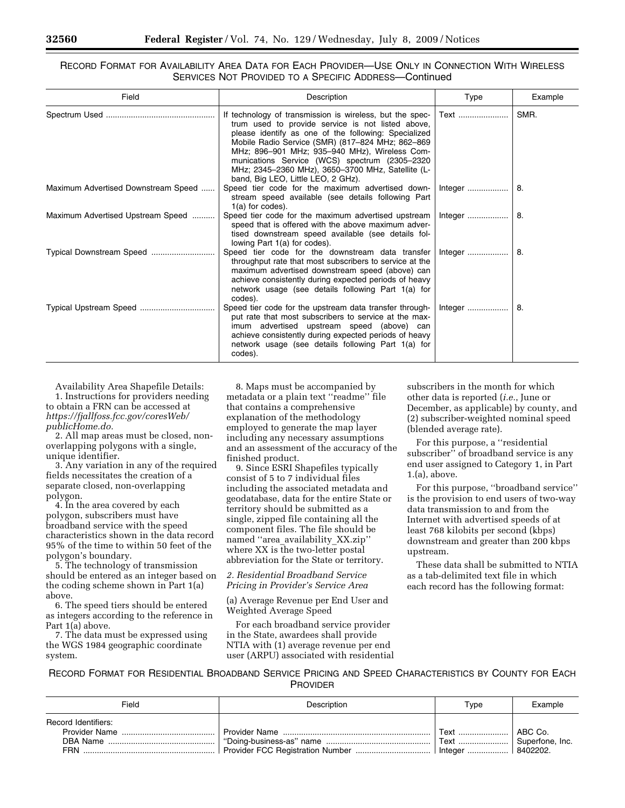RECORD FORMAT FOR AVAILABILITY AREA DATA FOR EACH PROVIDER—USE ONLY IN CONNECTION WITH WIRELESS SERVICES NOT PROVIDED TO A SPECIFIC ADDRESS—Continued

| Field                               | Description                                                                                                                                                                                                                                                                                                                                                                                                            | Type | Example |
|-------------------------------------|------------------------------------------------------------------------------------------------------------------------------------------------------------------------------------------------------------------------------------------------------------------------------------------------------------------------------------------------------------------------------------------------------------------------|------|---------|
|                                     | If technology of transmission is wireless, but the spec-<br>trum used to provide service is not listed above,<br>please identify as one of the following: Specialized<br>Mobile Radio Service (SMR) (817-824 MHz; 862-869<br>MHz; 896-901 MHz; 935-940 MHz), Wireless Com-<br>munications Service (WCS) spectrum (2305-2320<br>MHz; 2345-2360 MHz), 3650-3700 MHz, Satellite (L-<br>band, Big LEO, Little LEO, 2 GHz). | Text | SMR.    |
| Maximum Advertised Downstream Speed | Speed tier code for the maximum advertised down-<br>stream speed available (see details following Part<br>$1(a)$ for codes).                                                                                                                                                                                                                                                                                           |      | 8.      |
| Maximum Advertised Upstream Speed   | Speed tier code for the maximum advertised upstream<br>speed that is offered with the above maximum adver-<br>tised downstream speed available (see details fol-<br>lowing Part 1(a) for codes).                                                                                                                                                                                                                       |      | 8.      |
|                                     | Speed tier code for the downstream data transfer<br>throughput rate that most subscribers to service at the<br>maximum advertised downstream speed (above) can<br>achieve consistently during expected periods of heavy<br>network usage (see details following Part 1(a) for<br>codes).                                                                                                                               |      | 8.      |
|                                     | Speed tier code for the upstream data transfer through-<br>put rate that most subscribers to service at the max-<br>imum advertised upstream speed (above) can<br>achieve consistently during expected periods of heavy<br>network usage (see details following Part 1(a) for<br>codes).                                                                                                                               |      | 8.      |

Availability Area Shapefile Details: 1. Instructions for providers needing to obtain a FRN can be accessed at *https://fjallfoss.fcc.gov/coresWeb/ publicHome.do.* 

2. All map areas must be closed, nonoverlapping polygons with a single, unique identifier.

3. Any variation in any of the required fields necessitates the creation of a separate closed, non-overlapping polygon.

4. In the area covered by each polygon, subscribers must have broadband service with the speed characteristics shown in the data record 95% of the time to within 50 feet of the polygon's boundary.

5. The technology of transmission should be entered as an integer based on the coding scheme shown in Part 1(a) above.

6. The speed tiers should be entered as integers according to the reference in Part 1(a) above.

7. The data must be expressed using the WGS 1984 geographic coordinate system.

8. Maps must be accompanied by metadata or a plain text ''readme'' file that contains a comprehensive explanation of the methodology employed to generate the map layer including any necessary assumptions and an assessment of the accuracy of the finished product.

9. Since ESRI Shapefiles typically consist of 5 to 7 individual files including the associated metadata and geodatabase, data for the entire State or territory should be submitted as a single, zipped file containing all the component files. The file should be named ''area\_availability\_XX.zip'' where XX is the two-letter postal abbreviation for the State or territory.

*2. Residential Broadband Service Pricing in Provider's Service Area* 

(a) Average Revenue per End User and Weighted Average Speed

For each broadband service provider in the State, awardees shall provide NTIA with (1) average revenue per end user (ARPU) associated with residential

subscribers in the month for which other data is reported (*i.e.*, June or December, as applicable) by county, and (2) subscriber-weighted nominal speed (blended average rate).

For this purpose, a ''residential subscriber'' of broadband service is any end user assigned to Category 1, in Part 1.(a), above.

For this purpose, ''broadband service'' is the provision to end users of two-way data transmission to and from the Internet with advertised speeds of at least 768 kilobits per second (kbps) downstream and greater than 200 kbps upstream.

These data shall be submitted to NTIA as a tab-delimited text file in which each record has the following format:

## RECORD FORMAT FOR RESIDENTIAL BROADBAND SERVICE PRICING AND SPEED CHARACTERISTICS BY COUNTY FOR EACH PROVIDER

| Field                      | <b>Description</b> | Type                  | Example |
|----------------------------|--------------------|-----------------------|---------|
| <b>Record Identifiers:</b> |                    |                       |         |
|                            |                    | । Text                | ABC Co. |
| DBA Name                   |                    | Text  Superfone, Inc. |         |
| <b>FRN</b>                 |                    |                       |         |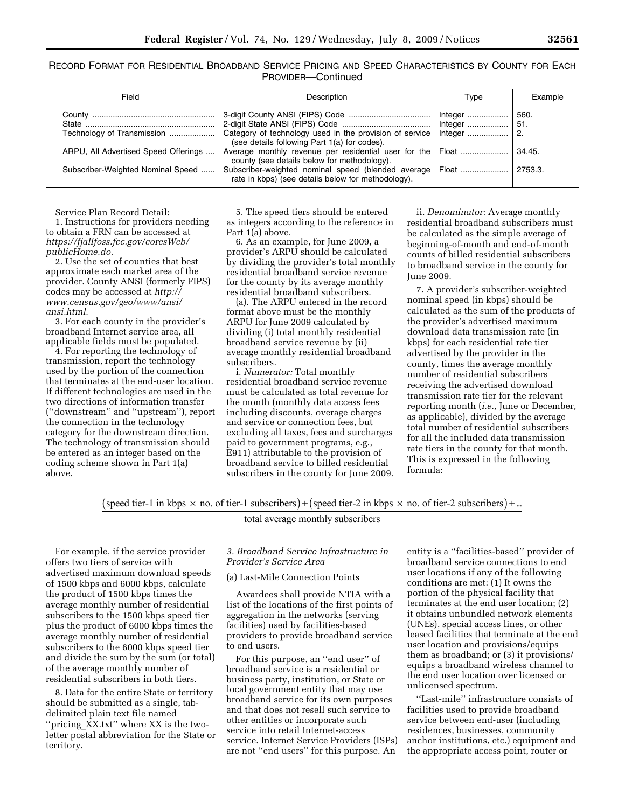RECORD FORMAT FOR RESIDENTIAL BROADBAND SERVICE PRICING AND SPEED CHARACTERISTICS BY COUNTY FOR EACH PROVIDER—Continued

| Field                                                                                                   | Description                                                                                                                                                                                                                                                                                                                                | Type                             | Example                                 |
|---------------------------------------------------------------------------------------------------------|--------------------------------------------------------------------------------------------------------------------------------------------------------------------------------------------------------------------------------------------------------------------------------------------------------------------------------------------|----------------------------------|-----------------------------------------|
| Technology of Transmission<br>ARPU, All Advertised Speed Offerings<br>Subscriber-Weighted Nominal Speed | Category of technology used in the provision of service   Integer<br>(see details following Part 1(a) for codes).<br>Average monthly revenue per residential user for the Float<br>county (see details below for methodology).<br>Subscriber-weighted nominal speed (blended average<br>rate in kbps) (see details below for methodology). | Integer   <br>  Integer<br>Float | 560.<br>51.<br>-2.<br>34.45.<br>2753.3. |

Service Plan Record Detail:

1. Instructions for providers needing to obtain a FRN can be accessed at *https://fjallfoss.fcc.gov/coresWeb/ publicHome.do*.

2. Use the set of counties that best approximate each market area of the provider. County ANSI (formerly FIPS) codes may be accessed at *http:// www.census.gov/geo/www/ansi/ ansi.html*.

3. For each county in the provider's broadband Internet service area, all applicable fields must be populated.

4. For reporting the technology of transmission, report the technology used by the portion of the connection that terminates at the end-user location. If different technologies are used in the two directions of information transfer (''downstream'' and ''upstream''), report the connection in the technology category for the downstream direction. The technology of transmission should be entered as an integer based on the coding scheme shown in Part 1(a) above.

5. The speed tiers should be entered as integers according to the reference in Part 1(a) above.

6. As an example, for June 2009, a provider's ARPU should be calculated by dividing the provider's total monthly residential broadband service revenue for the county by its average monthly residential broadband subscribers.

(a). The ARPU entered in the record format above must be the monthly ARPU for June 2009 calculated by dividing (i) total monthly residential broadband service revenue by (ii) average monthly residential broadband subscribers.

i. *Numerator:* Total monthly residential broadband service revenue must be calculated as total revenue for the month (monthly data access fees including discounts, overage charges and service or connection fees, but excluding all taxes, fees and surcharges paid to government programs, e.g., E911) attributable to the provision of broadband service to billed residential subscribers in the county for June 2009.

ii. *Denominator:* Average monthly residential broadband subscribers must be calculated as the simple average of beginning-of-month and end-of-month counts of billed residential subscribers to broadband service in the county for June 2009.

7. A provider's subscriber-weighted nominal speed (in kbps) should be calculated as the sum of the products of the provider's advertised maximum download data transmission rate (in kbps) for each residential rate tier advertised by the provider in the county, times the average monthly number of residential subscribers receiving the advertised download transmission rate tier for the relevant reporting month (*i.e.,* June or December, as applicable), divided by the average total number of residential subscribers for all the included data transmission rate tiers in the county for that month. This is expressed in the following formula:

(speed tier-1 in kbps  $\times$  no. of tier-1 subscribers) + (speed tier-2 in kbps  $\times$  no. of tier-2 subscribers) + ...

total aver age monthly subscribers

For example, if the service provider offers two tiers of service with advertised maximum download speeds of 1500 kbps and 6000 kbps, calculate the product of 1500 kbps times the average monthly number of residential subscribers to the 1500 kbps speed tier plus the product of 6000 kbps times the average monthly number of residential subscribers to the 6000 kbps speed tier and divide the sum by the sum (or total) of the average monthly number of residential subscribers in both tiers.

8. Data for the entire State or territory should be submitted as a single, tabdelimited plain text file named ''pricing\_XX.txt'' where XX is the twoletter postal abbreviation for the State or territory.

## *3. Broadband Service Infrastructure in Provider's Service Area*

(a) Last-Mile Connection Points

Awardees shall provide NTIA with a list of the locations of the first points of aggregation in the networks (serving facilities) used by facilities-based providers to provide broadband service to end users.

For this purpose, an ''end user'' of broadband service is a residential or business party, institution, or State or local government entity that may use broadband service for its own purposes and that does not resell such service to other entities or incorporate such service into retail Internet-access service. Internet Service Providers (ISPs) are not ''end users'' for this purpose. An

entity is a ''facilities-based'' provider of broadband service connections to end user locations if any of the following conditions are met: (1) It owns the portion of the physical facility that terminates at the end user location; (2) it obtains unbundled network elements (UNEs), special access lines, or other leased facilities that terminate at the end user location and provisions/equips them as broadband; or (3) it provisions/ equips a broadband wireless channel to the end user location over licensed or unlicensed spectrum.

''Last-mile'' infrastructure consists of facilities used to provide broadband service between end-user (including residences, businesses, community anchor institutions, etc.) equipment and the appropriate access point, router or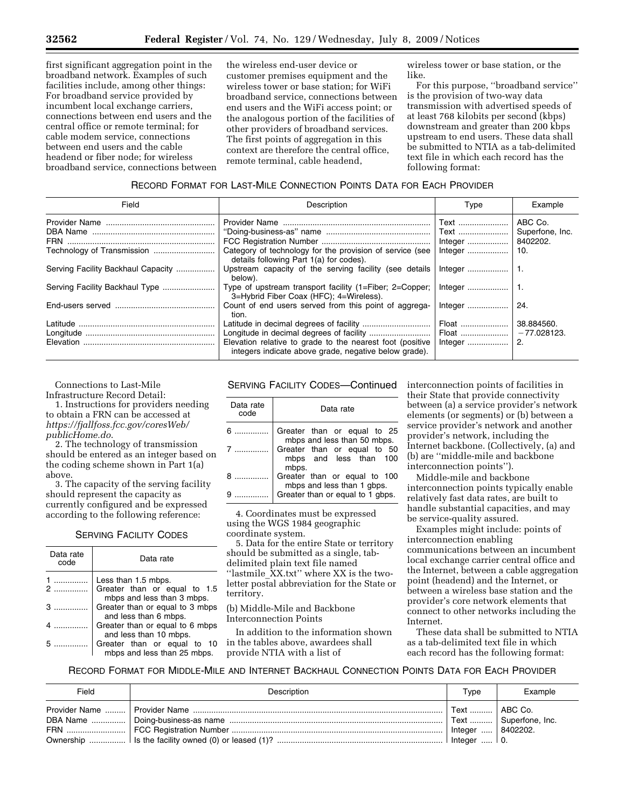first significant aggregation point in the broadband network. Examples of such facilities include, among other things: For broadband service provided by incumbent local exchange carriers, connections between end users and the central office or remote terminal; for cable modem service, connections between end users and the cable headend or fiber node; for wireless broadband service, connections between the wireless end-user device or customer premises equipment and the wireless tower or base station; for WiFi broadband service, connections between end users and the WiFi access point; or the analogous portion of the facilities of other providers of broadband services. The first points of aggregation in this context are therefore the central office, remote terminal, cable headend,

wireless tower or base station, or the like.

For this purpose, ''broadband service'' is the provision of two-way data transmission with advertised speeds of at least 768 kilobits per second (kbps) downstream and greater than 200 kbps upstream to end users. These data shall be submitted to NTIA as a tab-delimited text file in which each record has the following format:

## RECORD FORMAT FOR LAST-MILE CONNECTION POINTS DATA FOR EACH PROVIDER

| Field                              | Description                                                                                                        | Type    | Example         |
|------------------------------------|--------------------------------------------------------------------------------------------------------------------|---------|-----------------|
|                                    |                                                                                                                    | Text    | ABC Co.         |
|                                    |                                                                                                                    | Text    | Superfone, Inc. |
|                                    |                                                                                                                    |         |                 |
|                                    | Category of technology for the provision of service (see<br>details following Part 1(a) for codes).                | Integer | 10.             |
| Serving Facility Backhaul Capacity | Upstream capacity of the serving facility (see details<br>below).                                                  |         |                 |
| Serving Facility Backhaul Type     | Type of upstream transport facility (1=Fiber; 2=Copper;<br>3=Hybrid Fiber Coax (HFC); 4=Wireless).                 |         |                 |
|                                    | Count of end users served from this point of aggrega-<br>tion.                                                     |         | 24.             |
|                                    |                                                                                                                    | Float   | 38.884560.      |
|                                    |                                                                                                                    |         |                 |
|                                    | Elevation relative to grade to the nearest foot (positive<br>integers indicate above grade, negative below grade). | Integer | 2.              |

Connections to Last-Mile

Infrastructure Record Detail:

1. Instructions for providers needing to obtain a FRN can be accessed at *https://fjallfoss.fcc.gov/coresWeb/ publicHome.do*.

2. The technology of transmission should be entered as an integer based on the coding scheme shown in Part 1(a) above.

3. The capacity of the serving facility should represent the capacity as currently configured and be expressed according to the following reference:

## SERVING FACILITY CODES

| Data rate<br>code | Data rate                                                  |
|-------------------|------------------------------------------------------------|
| 1                 | Less than 1.5 mbps.                                        |
| $2$               | Greater than or equal to 1.5<br>mbps and less than 3 mbps. |
| $3$               | Greater than or equal to 3 mbps<br>and less than 6 mbps.   |
|                   | Greater than or equal to 6 mbps<br>and less than 10 mbps.  |
|                   | Greater than or equal to 10<br>mbps and less than 25 mbps. |

SERVING FACILITY CODES—Continued

| Data rate<br>code | Data rate                                                      |
|-------------------|----------------------------------------------------------------|
|                   | Greater than or equal to 25<br>mbps and less than 50 mbps.     |
|                   | Greater than or equal to 50<br>mbps and less than 100<br>mbps. |
|                   | Greater than or equal to 100<br>mbps and less than 1 gbps.     |
|                   | Greater than or equal to 1 gbps.                               |

4. Coordinates must be expressed using the WGS 1984 geographic coordinate system.

5. Data for the entire State or territory should be submitted as a single, tabdelimited plain text file named ''lastmile\_XX.txt'' where XX is the twoletter postal abbreviation for the State or territory.

(b) Middle-Mile and Backbone Interconnection Points

In addition to the information shown in the tables above, awardees shall provide NTIA with a list of

interconnection points of facilities in their State that provide connectivity between (a) a service provider's network elements (or segments) or (b) between a service provider's network and another provider's network, including the Internet backbone. (Collectively, (a) and (b) are ''middle-mile and backbone interconnection points'').

Middle-mile and backbone interconnection points typically enable relatively fast data rates, are built to handle substantial capacities, and may be service-quality assured.

Examples might include: points of interconnection enabling communications between an incumbent local exchange carrier central office and the Internet, between a cable aggregation point (headend) and the Internet, or between a wireless base station and the provider's core network elements that connect to other networks including the Internet.

These data shall be submitted to NTIA as a tab-delimited text file in which each record has the following format:

RECORD FORMAT FOR MIDDLE-MILE AND INTERNET BACKHAUL CONNECTION POINTS DATA FOR EACH PROVIDER

| Field | Description | Tvpe                                       | Example                 |
|-------|-------------|--------------------------------------------|-------------------------|
|       |             | ' Text    ABC Co.<br>  Integer    8402202. | Text    Superfone, Inc. |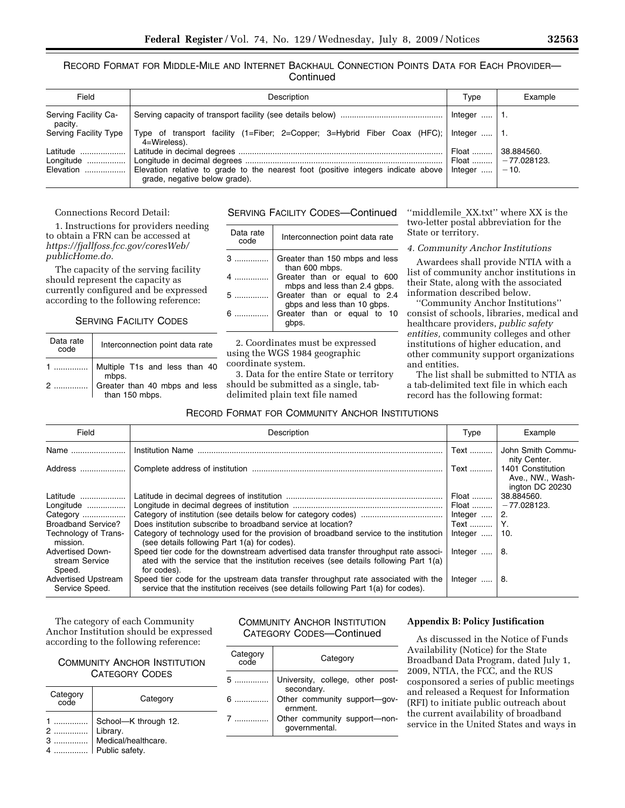RECORD FORMAT FOR MIDDLE-MILE AND INTERNET BACKHAUL CONNECTION POINTS DATA FOR EACH PROVIDER— **Continued** 

| Field                           | Description                                                                                                                           | Type                 | Example                              |
|---------------------------------|---------------------------------------------------------------------------------------------------------------------------------------|----------------------|--------------------------------------|
| Serving Facility Ca-<br>pacity. |                                                                                                                                       | Integer $\dots$   1. |                                      |
| Serving Facility Type           | Type of transport facility (1=Fiber; 2=Copper; 3=Hybrid Fiber Coax (HFC);<br>4=Wireless).                                             | ∴ Inteaer    1.      |                                      |
| Latitude                        |                                                                                                                                       | , Float              | 38.884560.<br>  Float    -77.028123. |
| Elevation                       | Elevation relative to grade to the nearest foot (positive integers indicate above   Integer $ -10$ .<br>grade, negative below grade). |                      |                                      |

## Connections Record Detail:

1. Instructions for providers needing to obtain a FRN can be accessed at *https://fjallfoss.fcc.gov/coresWeb/ publicHome.do.* 

The capacity of the serving facility should represent the capacity as currently configured and be expressed according to the following reference:

SERVING FACILITY CODES

| Data rate<br>code | Interconnection point data rate                                                        |
|-------------------|----------------------------------------------------------------------------------------|
|                   | 1  Multiple T1s and less than 40<br>2  Greater than 40 mbps and less<br>than 150 mbps. |
|                   |                                                                                        |

# SERVING FACILITY CODES—Continued

| Data rate<br>code | Interconnection point data rate                              |
|-------------------|--------------------------------------------------------------|
|                   | Greater than 150 mbps and less<br>than 600 mbps.             |
|                   | Greater than or equal to 600<br>mbps and less than 2.4 gbps. |
| 5                 | Greater than or equal to 2.4<br>gbps and less than 10 gbps.  |
| $6$               | Greater than or equal to 10                                  |

2. Coordinates must be expressed using the WGS 1984 geographic coordinate system.

3. Data for the entire State or territory should be submitted as a single, tabdelimited plain text file named

''middlemile\_XX.txt'' where XX is the two-letter postal abbreviation for the State or territory.

#### *4. Community Anchor Institutions*

Awardees shall provide NTIA with a list of community anchor institutions in their State, along with the associated information described below.

''Community Anchor Institutions'' consist of schools, libraries, medical and healthcare providers, *public safety entities,* community colleges and other institutions of higher education, and other community support organizations and entities.

The list shall be submitted to NTIA as a tab-delimited text file in which each record has the following format:

## RECORD FORMAT FOR COMMUNITY ANCHOR INSTITUTIONS

| Field                                               | Description                                                                                                                                                                                | Type                | Example                                                  |
|-----------------------------------------------------|--------------------------------------------------------------------------------------------------------------------------------------------------------------------------------------------|---------------------|----------------------------------------------------------|
| Name                                                | <b>Institution Name</b>                                                                                                                                                                    | Text                | John Smith Commu-<br>nity Center.                        |
| Address                                             |                                                                                                                                                                                            | Text                | 1401 Constitution<br>Ave., NW., Wash-<br>ington DC 20230 |
| Latitude                                            |                                                                                                                                                                                            | Float               | 38.884560.                                               |
| Longitude                                           |                                                                                                                                                                                            |                     | - 77.028123.                                             |
| Category                                            |                                                                                                                                                                                            | Integer             | 2.                                                       |
| <b>Broadband Service?</b>                           | Does institution subscribe to broadband service at location?                                                                                                                               | Text    Y.          |                                                          |
| Technology of Trans-<br>mission.                    | Category of technology used for the provision of broadband service to the institution<br>(see details following Part 1(a) for codes).                                                      | Integer $\dots$ 10. |                                                          |
| <b>Advertised Down-</b><br>stream Service<br>Speed. | Speed tier code for the downstream advertised data transfer throughput rate associ-<br>ated with the service that the institution receives (see details following Part 1(a)<br>for codes). | Integer             | -8.                                                      |
| <b>Advertised Upstream</b><br>Service Speed.        | Speed tier code for the upstream data transfer throughput rate associated with the<br>service that the institution receives (see details following Part 1(a) for codes).                   | Integer             | -8.                                                      |

The category of each Community Anchor Institution should be expressed according to the following reference:

COMMUNITY ANCHOR INSTITUTION CATEGORY CODES

| Category<br>code | Category                                                                  |
|------------------|---------------------------------------------------------------------------|
|                  | School-K through 12.<br>Library.<br>Medical/healthcare.<br>Public safety. |

# COMMUNITY ANCHOR INSTITUTION CATEGORY CODES—Continued

| Category<br>code | Category                                       |
|------------------|------------------------------------------------|
| 5                | University, college, other post-<br>secondary. |
| 6                | Other community support-gov-<br>ernment.       |
|                  | Other community support-non-<br>governmental.  |

### **Appendix B: Policy Justification**

As discussed in the Notice of Funds Availability (Notice) for the State Broadband Data Program, dated July 1, 2009, NTIA, the FCC, and the RUS cosponsored a series of public meetings and released a Request for Information (RFI) to initiate public outreach about the current availability of broadband service in the United States and ways in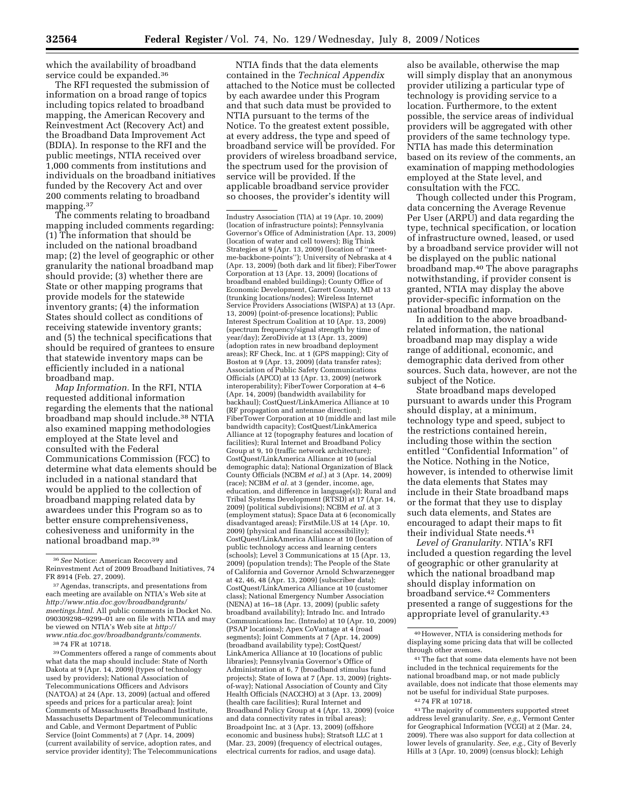which the availability of broadband service could be expanded.36

The RFI requested the submission of information on a broad range of topics including topics related to broadband mapping, the American Recovery and Reinvestment Act (Recovery Act) and the Broadband Data Improvement Act (BDIA). In response to the RFI and the public meetings, NTIA received over 1,000 comments from institutions and individuals on the broadband initiatives funded by the Recovery Act and over 200 comments relating to broadband mapping.37

The comments relating to broadband mapping included comments regarding: (1) The information that should be included on the national broadband map; (2) the level of geographic or other granularity the national broadband map should provide; (3) whether there are State or other mapping programs that provide models for the statewide inventory grants; (4) the information States should collect as conditions of receiving statewide inventory grants; and (5) the technical specifications that should be required of grantees to ensure that statewide inventory maps can be efficiently included in a national broadband map.

*Map Information.* In the RFI, NTIA requested additional information regarding the elements that the national broadband map should include.38 NTIA also examined mapping methodologies employed at the State level and consulted with the Federal Communications Commission (FCC) to determine what data elements should be included in a national standard that would be applied to the collection of broadband mapping related data by awardees under this Program so as to better ensure comprehensiveness, cohesiveness and uniformity in the national broadband map.39

38 74 FR at 10718.

39Commenters offered a range of comments about what data the map should include: State of North Dakota at 9 (Apr. 14, 2009) (types of technology used by providers); National Association of Telecommunications Officers and Advisors (NATOA) at 24 (Apr. 13, 2009) (actual and offered speeds and prices for a particular area); Joint Comments of Massachusetts Broadband Institute, Massachusetts Department of Telecommunications and Cable, and Vermont Department of Public Service (Joint Comments) at 7 (Apr. 14, 2009) (current availability of service, adoption rates, and service provider identity); The Telecommunications

NTIA finds that the data elements contained in the *Technical Appendix*  attached to the Notice must be collected by each awardee under this Program and that such data must be provided to NTIA pursuant to the terms of the Notice. To the greatest extent possible, at every address, the type and speed of broadband service will be provided. For providers of wireless broadband service, the spectrum used for the provision of service will be provided. If the applicable broadband service provider so chooses, the provider's identity will

Industry Association (TIA) at 19 (Apr. 10, 2009) (location of infrastructure points); Pennsylvania Governor's Office of Administration (Apr. 13, 2009) (location of water and cell towers); Big Think Strategies at 9 (Apr. 13, 2009) (location of ''meetme-backbone-points''); University of Nebraska at 4 (Apr. 13, 2009) (both dark and lit fiber); FiberTower Corporation at 13 (Apr. 13, 2009) (locations of broadband enabled buildings); County Office of Economic Development, Garrett County, MD at 13 (trunking locations/nodes); Wireless Internet Service Providers Associations (WISPA) at 13 (Apr. 13, 2009) (point-of-presence locations); Public Interest Spectrum Coalition at 10 (Apr. 13, 2009) (spectrum frequency/signal strength by time of year/day); ZeroDivide at 13 (Apr. 13, 2009) (adoption rates in new broadband deployment areas); RF Check, Inc. at 1 (GPS mapping); City of Boston at 9 (Apr. 13, 2009) (data transfer rates); Association of Public Safety Communications Officials (APCO) at 13 (Apr. 13, 2009) (network interoperability); FiberTower Corporation at 4–6 (Apr. 14, 2009) (bandwidth availability for backhaul); CostQuest/LinkAmerica Alliance at 10 (RF propagation and antennae direction); FiberTower Corporation at 10 (middle and last mile bandwidth capacity); CostQuest/LinkAmerica Alliance at 12 (topography features and location of facilities); Rural Internet and Broadband Policy Group at 9, 10 (traffic network architecture); CostOuest/LinkAmerica Alliance at 10 (social demographic data); National Organization of Black County Officials (NCBM *et al.*) at 3 (Apr. 14, 2009) (race); NCBM *et al.* at 3 (gender, income, age, education, and difference in language(s)); Rural and Tribal Systems Development (RTSD) at 17 (Apr. 14, 2009) (political subdivisions); NCBM *et al.* at 3 (employment status); Space Data at 6 (economically disadvantaged areas); FirstMile.US at 14 (Apr. 10, 2009) (physical and financial accessibility); CostQuest/LinkAmerica Alliance at 10 (location of public technology access and learning centers (schools); Level 3 Communications at 15 (Apr. 13, 2009) (population trends); The People of the State of California and Governor Arnold Schwarzenegger at 42, 46, 48 (Apr. 13, 2009) (subscriber data); CostQuest/LinkAmerica Alliance at 10 (customer class); National Emergency Number Association (NENA) at 16–18 (Apr. 13, 2009) (public safety broadband availability); Intrado Inc. and Intrado Communications Inc. (Intrado) at 10 (Apr. 10, 2009) (PSAP locations); Apex CoVantage at 4 (road segments); Joint Comments at 7 (Apr. 14, 2009) (broadband availability type); CostQuest/ LinkAmerica Alliance at 10 (locations of public libraries); Pennsylvania Governor's Office of Administration at 6, 7 (broadband stimulus fund projects); State of Iowa at 7 (Apr. 13, 2009) (rightsof-way); National Association of County and City Health Officials (NACCHO) at 3 (Apr. 13, 2009) (health care facilities); Rural Internet and Broadband Policy Group at 4 (Apr. 13, 2009) (voice and data connectivity rates in tribal areas); Broadpoint Inc. at 3 (Apr. 13, 2009) (offshore economic and business hubs); Stratsoft LLC at 1 (Mar. 23, 2009) (frequency of electrical outages, electrical currents for radios, and usage data).

also be available, otherwise the map will simply display that an anonymous provider utilizing a particular type of technology is providing service to a location. Furthermore, to the extent possible, the service areas of individual providers will be aggregated with other providers of the same technology type. NTIA has made this determination based on its review of the comments, an examination of mapping methodologies employed at the State level, and consultation with the FCC.

Though collected under this Program, data concerning the Average Revenue Per User (ARPU) and data regarding the type, technical specification, or location of infrastructure owned, leased, or used by a broadband service provider will not be displayed on the public national broadband map.40 The above paragraphs notwithstanding, if provider consent is granted, NTIA may display the above provider-specific information on the national broadband map.

In addition to the above broadbandrelated information, the national broadband map may display a wide range of additional, economic, and demographic data derived from other sources. Such data, however, are not the subject of the Notice.

State broadband maps developed pursuant to awards under this Program should display, at a minimum, technology type and speed, subject to the restrictions contained herein, including those within the section entitled ''Confidential Information'' of the Notice. Nothing in the Notice, however, is intended to otherwise limit the data elements that States may include in their State broadband maps or the format that they use to display such data elements, and States are encouraged to adapt their maps to fit their individual State needs.41

*Level of Granularity.* NTIA's RFI included a question regarding the level of geographic or other granularity at which the national broadband map should display information on broadband service.42 Commenters presented a range of suggestions for the appropriate level of granularity.43

<sup>36</sup>*See* Notice: American Recovery and Reinvestment Act of 2009 Broadband Initiatives, 74 FR 8914 (Feb. 27, 2009).

<sup>37</sup>Agendas, transcripts, and presentations from each meeting are available on NTIA's Web site at *http://www.ntia.doc.gov/broadbandgrants/ meetings.html*. All public comments in Docket No. 090309298–9299–01 are on file with NTIA and may be viewed on NTIA's Web site at *http:// www.ntia.doc.gov/broadbandgrants/comments*.

<sup>40</sup>However, NTIA is considering methods for displaying some pricing data that will be collected through other avenues.

<sup>41</sup>The fact that some data elements have not been included in the technical requirements for the national broadband map, or not made publicly available, does not indicate that those elements may not be useful for individual State purposes. 42 74 FR at 10718.

<sup>43</sup>The majority of commenters supported street address level granularity. *See, e.g.,* Vermont Center for Geographical Information (VCGI) at 2 (Mar. 24, 2009). There was also support for data collection at lower levels of granularity. *See, e.g.,* City of Beverly Hills at 3 (Apr. 10, 2009) (census block); Lehigh